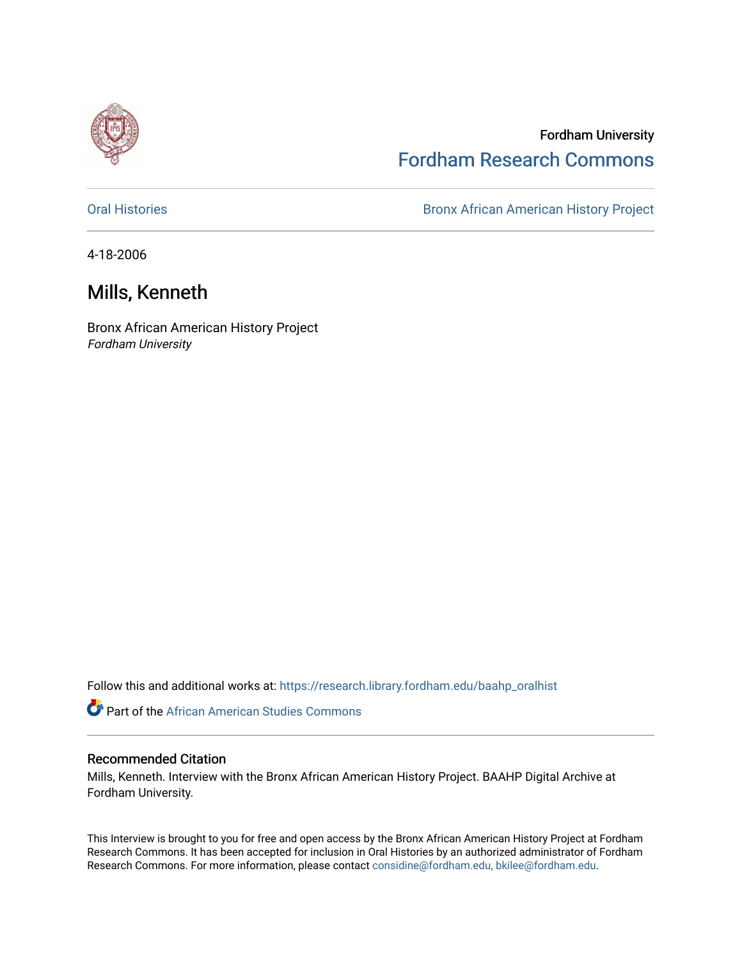

## Fordham University [Fordham Research Commons](https://research.library.fordham.edu/)

[Oral Histories](https://research.library.fordham.edu/baahp_oralhist) **Bronx African American History Project** Bronx African American History Project

4-18-2006

## Mills, Kenneth

Bronx African American History Project Fordham University

Follow this and additional works at: [https://research.library.fordham.edu/baahp\\_oralhist](https://research.library.fordham.edu/baahp_oralhist?utm_source=research.library.fordham.edu%2Fbaahp_oralhist%2F314&utm_medium=PDF&utm_campaign=PDFCoverPages)

**C** Part of the African American Studies Commons

## Recommended Citation

Mills, Kenneth. Interview with the Bronx African American History Project. BAAHP Digital Archive at Fordham University.

This Interview is brought to you for free and open access by the Bronx African American History Project at Fordham Research Commons. It has been accepted for inclusion in Oral Histories by an authorized administrator of Fordham Research Commons. For more information, please contact [considine@fordham.edu, bkilee@fordham.edu](mailto:considine@fordham.edu,%20bkilee@fordham.edu).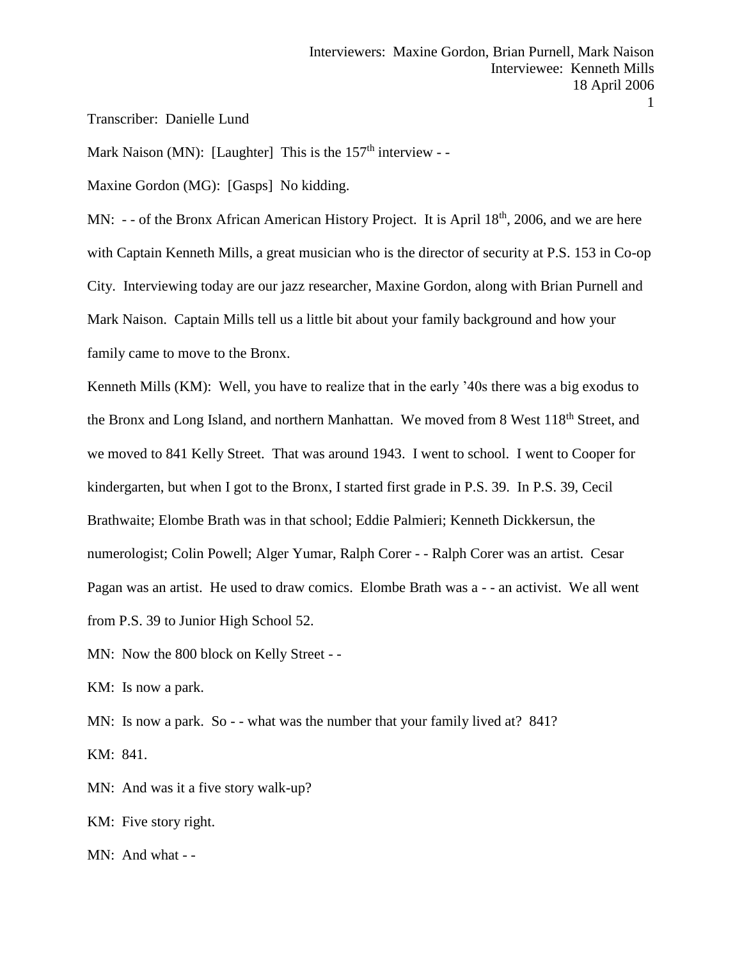Transcriber: Danielle Lund

Mark Naison (MN): [Laughter] This is the  $157<sup>th</sup>$  interview - -

Maxine Gordon (MG): [Gasps] No kidding.

MN:  $-$  - of the Bronx African American History Project. It is April  $18<sup>th</sup>$ , 2006, and we are here with Captain Kenneth Mills, a great musician who is the director of security at P.S. 153 in Co-op City. Interviewing today are our jazz researcher, Maxine Gordon, along with Brian Purnell and Mark Naison. Captain Mills tell us a little bit about your family background and how your family came to move to the Bronx.

Kenneth Mills (KM): Well, you have to realize that in the early '40s there was a big exodus to the Bronx and Long Island, and northern Manhattan. We moved from 8 West 118<sup>th</sup> Street, and we moved to 841 Kelly Street. That was around 1943. I went to school. I went to Cooper for kindergarten, but when I got to the Bronx, I started first grade in P.S. 39. In P.S. 39, Cecil Brathwaite; Elombe Brath was in that school; Eddie Palmieri; Kenneth Dickkersun, the numerologist; Colin Powell; Alger Yumar, Ralph Corer - - Ralph Corer was an artist. Cesar Pagan was an artist. He used to draw comics. Elombe Brath was a - - an activist. We all went from P.S. 39 to Junior High School 52.

MN: Now the 800 block on Kelly Street - -

KM: Is now a park.

MN: Is now a park. So - - what was the number that your family lived at? 841? KM: 841.

MN: And was it a five story walk-up?

KM: Five story right.

MN: And what - -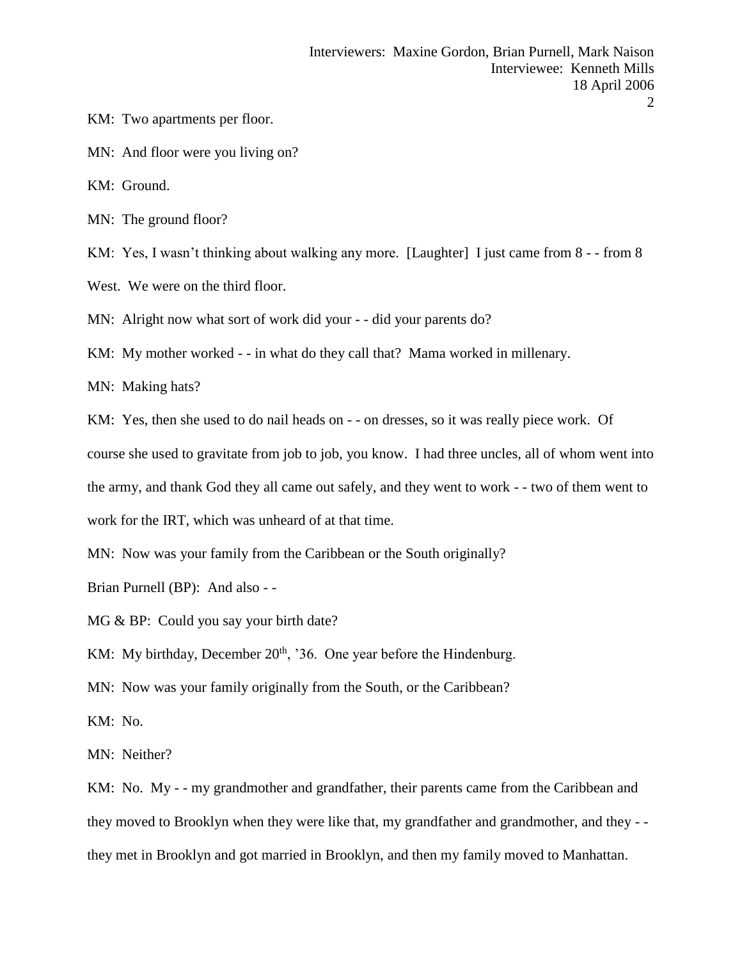- KM: Two apartments per floor.
- MN: And floor were you living on?
- KM: Ground.
- MN: The ground floor?

KM: Yes, I wasn't thinking about walking any more. [Laughter] I just came from 8 - - from 8

- West. We were on the third floor.
- MN: Alright now what sort of work did your - did your parents do?
- KM: My mother worked - in what do they call that? Mama worked in millenary.
- MN: Making hats?
- KM: Yes, then she used to do nail heads on - on dresses, so it was really piece work. Of
- course she used to gravitate from job to job, you know. I had three uncles, all of whom went into
- the army, and thank God they all came out safely, and they went to work - two of them went to
- work for the IRT, which was unheard of at that time.
- MN: Now was your family from the Caribbean or the South originally?
- Brian Purnell (BP): And also -
- MG & BP: Could you say your birth date?
- KM: My birthday, December  $20<sup>th</sup>$ , '36. One year before the Hindenburg.
- MN: Now was your family originally from the South, or the Caribbean?
- KM: No.
- MN: Neither?
- KM: No. My - my grandmother and grandfather, their parents came from the Caribbean and they moved to Brooklyn when they were like that, my grandfather and grandmother, and they - they met in Brooklyn and got married in Brooklyn, and then my family moved to Manhattan.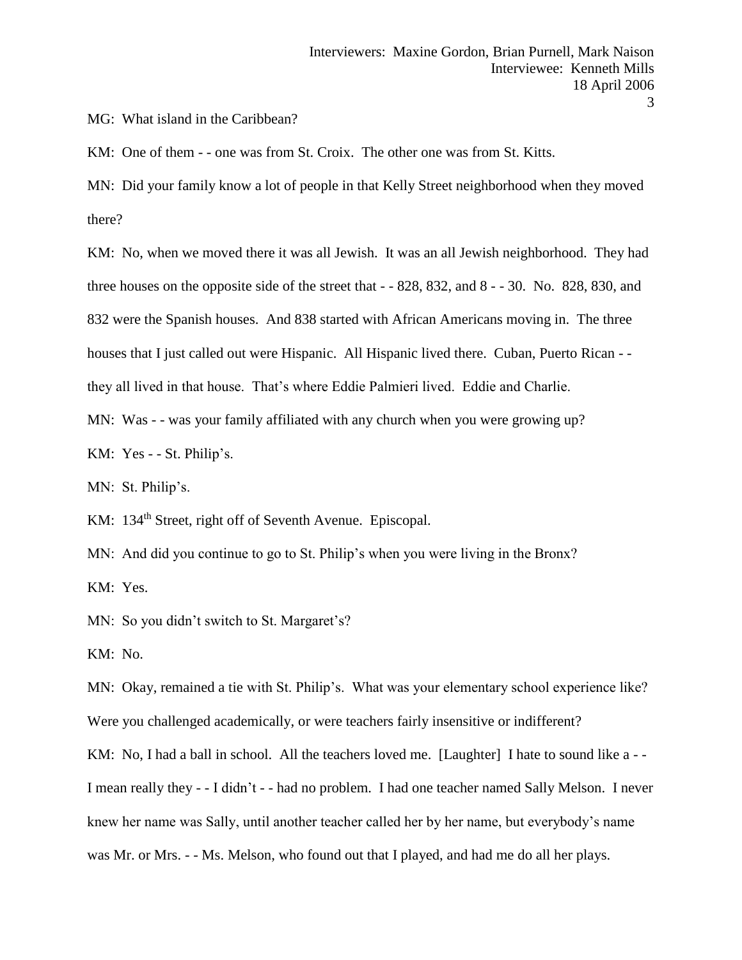MG: What island in the Caribbean?

KM: One of them - - one was from St. Croix. The other one was from St. Kitts.

MN: Did your family know a lot of people in that Kelly Street neighborhood when they moved there?

KM: No, when we moved there it was all Jewish. It was an all Jewish neighborhood. They had three houses on the opposite side of the street that - - 828, 832, and 8 - - 30. No. 828, 830, and 832 were the Spanish houses. And 838 started with African Americans moving in. The three houses that I just called out were Hispanic. All Hispanic lived there. Cuban, Puerto Rican - they all lived in that house. That's where Eddie Palmieri lived. Eddie and Charlie.

MN: Was - - was your family affiliated with any church when you were growing up?

KM: Yes - - St. Philip's.

MN: St. Philip's.

KM: 134<sup>th</sup> Street, right off of Seventh Avenue. Episcopal.

MN: And did you continue to go to St. Philip's when you were living in the Bronx?

KM: Yes.

MN: So you didn't switch to St. Margaret's?

KM: No.

MN: Okay, remained a tie with St. Philip's. What was your elementary school experience like? Were you challenged academically, or were teachers fairly insensitive or indifferent?

KM: No, I had a ball in school. All the teachers loved me. [Laughter] I hate to sound like a --I mean really they - - I didn't - - had no problem. I had one teacher named Sally Melson. I never knew her name was Sally, until another teacher called her by her name, but everybody's name

was Mr. or Mrs. - - Ms. Melson, who found out that I played, and had me do all her plays.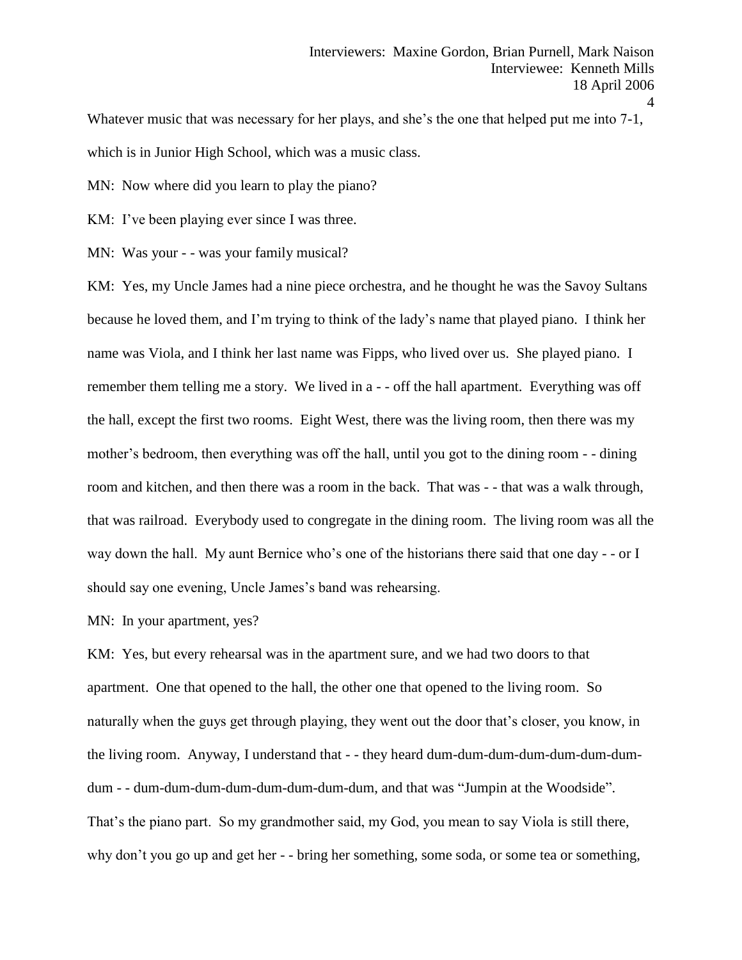Whatever music that was necessary for her plays, and she's the one that helped put me into 7-1, which is in Junior High School, which was a music class.

MN: Now where did you learn to play the piano?

KM: I've been playing ever since I was three.

MN: Was your - - was your family musical?

KM: Yes, my Uncle James had a nine piece orchestra, and he thought he was the Savoy Sultans because he loved them, and I'm trying to think of the lady's name that played piano. I think her name was Viola, and I think her last name was Fipps, who lived over us. She played piano. I remember them telling me a story. We lived in a - - off the hall apartment. Everything was off the hall, except the first two rooms. Eight West, there was the living room, then there was my mother's bedroom, then everything was off the hall, until you got to the dining room - - dining room and kitchen, and then there was a room in the back. That was - - that was a walk through, that was railroad. Everybody used to congregate in the dining room. The living room was all the way down the hall. My aunt Bernice who's one of the historians there said that one day - - or I should say one evening, Uncle James's band was rehearsing.

MN: In your apartment, yes?

KM: Yes, but every rehearsal was in the apartment sure, and we had two doors to that apartment. One that opened to the hall, the other one that opened to the living room. So naturally when the guys get through playing, they went out the door that's closer, you know, in the living room. Anyway, I understand that - - they heard dum-dum-dum-dum-dum-dum-dumdum - - dum-dum-dum-dum-dum-dum-dum-dum, and that was "Jumpin at the Woodside". That's the piano part. So my grandmother said, my God, you mean to say Viola is still there, why don't you go up and get her - - bring her something, some soda, or some tea or something,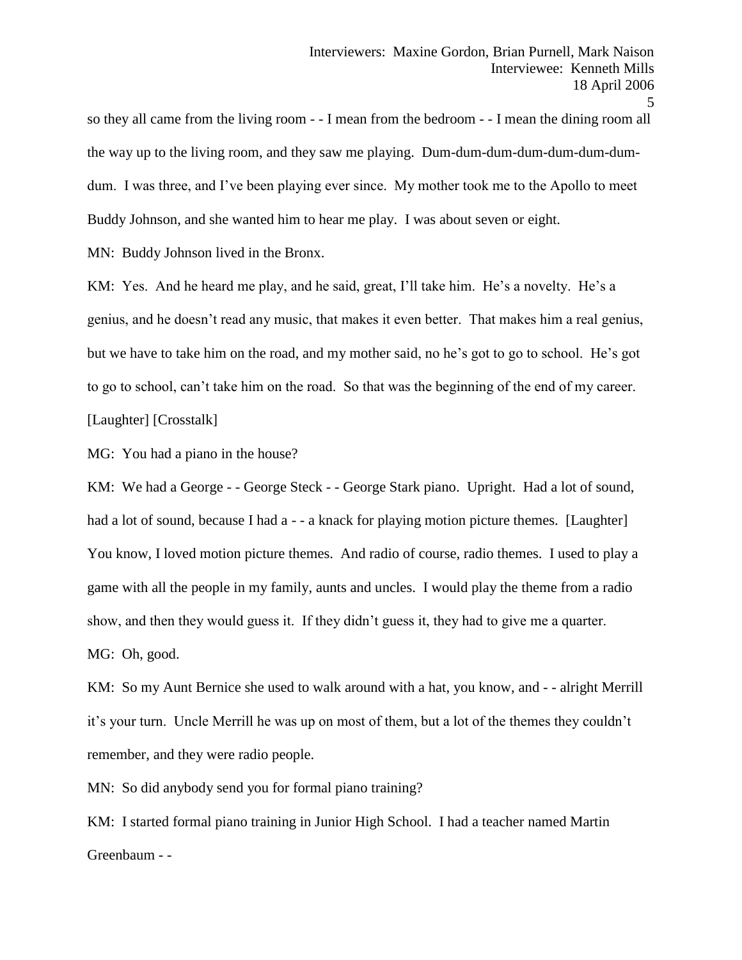so they all came from the living room - - I mean from the bedroom - - I mean the dining room all the way up to the living room, and they saw me playing. Dum-dum-dum-dum-dum-dum-dumdum. I was three, and I've been playing ever since. My mother took me to the Apollo to meet Buddy Johnson, and she wanted him to hear me play. I was about seven or eight.

MN: Buddy Johnson lived in the Bronx.

KM: Yes. And he heard me play, and he said, great, I'll take him. He's a novelty. He's a genius, and he doesn't read any music, that makes it even better. That makes him a real genius, but we have to take him on the road, and my mother said, no he's got to go to school. He's got to go to school, can't take him on the road. So that was the beginning of the end of my career. [Laughter] [Crosstalk]

MG: You had a piano in the house?

KM: We had a George - - George Steck - - George Stark piano. Upright. Had a lot of sound, had a lot of sound, because I had a - - a knack for playing motion picture themes. [Laughter] You know, I loved motion picture themes. And radio of course, radio themes. I used to play a game with all the people in my family, aunts and uncles. I would play the theme from a radio show, and then they would guess it. If they didn't guess it, they had to give me a quarter.

MG: Oh, good.

KM: So my Aunt Bernice she used to walk around with a hat, you know, and - - alright Merrill it's your turn. Uncle Merrill he was up on most of them, but a lot of the themes they couldn't remember, and they were radio people.

MN: So did anybody send you for formal piano training?

KM: I started formal piano training in Junior High School. I had a teacher named Martin Greenbaum - -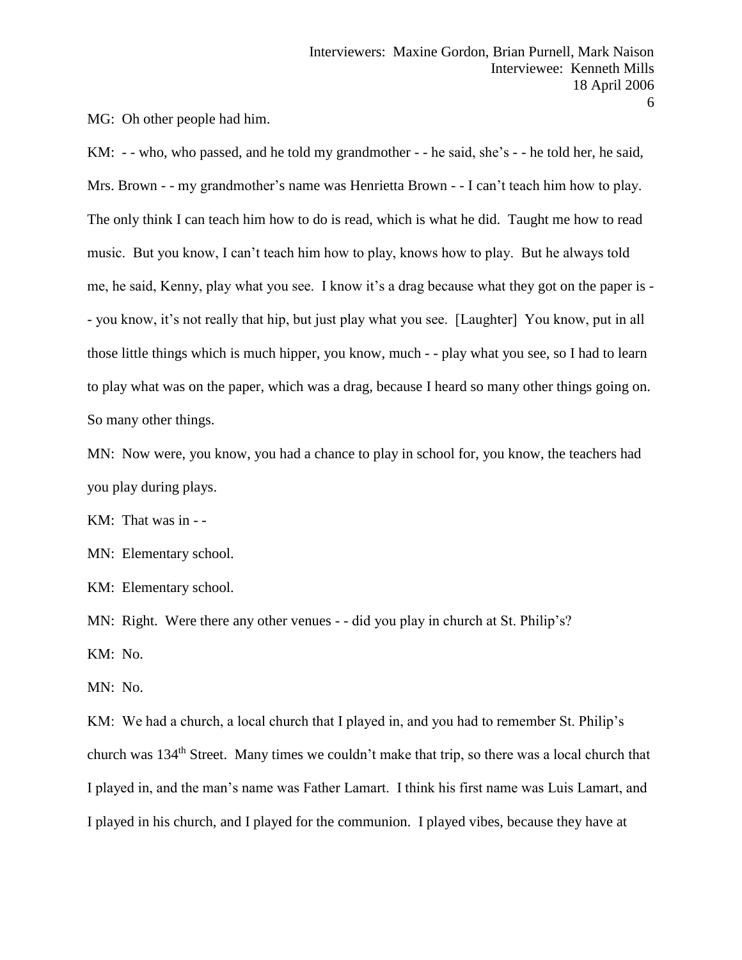MG: Oh other people had him.

KM: - - who, who passed, and he told my grandmother - - he said, she's - - he told her, he said, Mrs. Brown - - my grandmother's name was Henrietta Brown - - I can't teach him how to play. The only think I can teach him how to do is read, which is what he did. Taught me how to read music. But you know, I can't teach him how to play, knows how to play. But he always told me, he said, Kenny, play what you see. I know it's a drag because what they got on the paper is - - you know, it's not really that hip, but just play what you see. [Laughter] You know, put in all those little things which is much hipper, you know, much - - play what you see, so I had to learn to play what was on the paper, which was a drag, because I heard so many other things going on. So many other things.

MN: Now were, you know, you had a chance to play in school for, you know, the teachers had you play during plays.

KM: That was in - -

MN: Elementary school.

KM: Elementary school.

MN: Right. Were there any other venues - - did you play in church at St. Philip's?

KM: No.

MN: No.

KM: We had a church, a local church that I played in, and you had to remember St. Philip's church was 134th Street. Many times we couldn't make that trip, so there was a local church that I played in, and the man's name was Father Lamart. I think his first name was Luis Lamart, and I played in his church, and I played for the communion. I played vibes, because they have at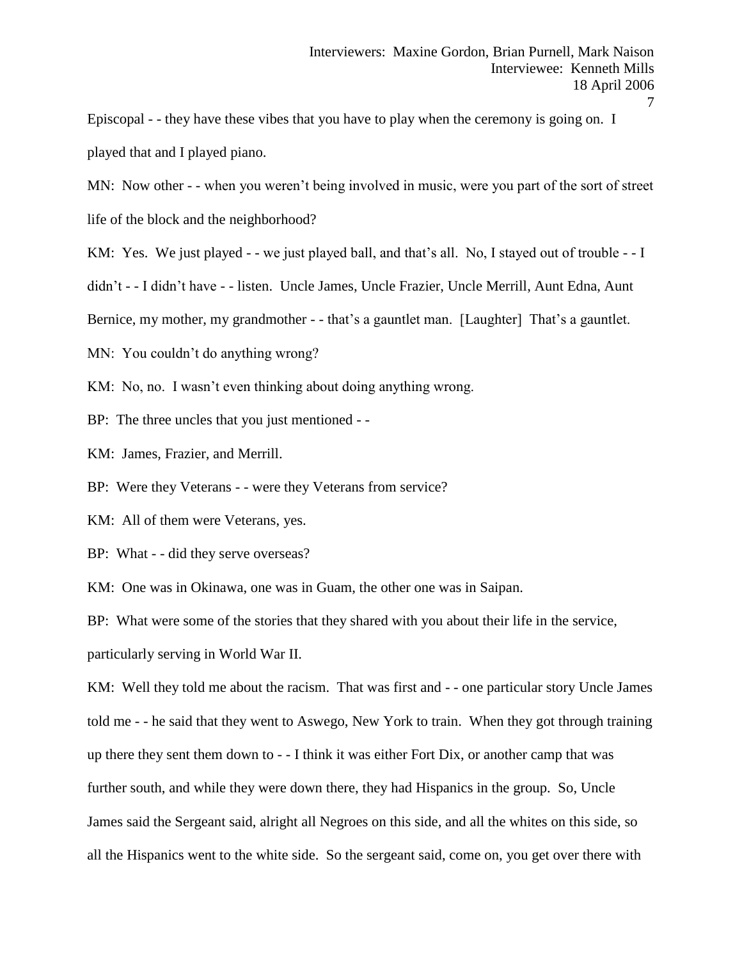Episcopal - - they have these vibes that you have to play when the ceremony is going on. I played that and I played piano.

MN: Now other - - when you weren't being involved in music, were you part of the sort of street life of the block and the neighborhood?

KM: Yes. We just played - - we just played ball, and that's all. No, I stayed out of trouble - - I

didn't - - I didn't have - - listen. Uncle James, Uncle Frazier, Uncle Merrill, Aunt Edna, Aunt

Bernice, my mother, my grandmother - - that's a gauntlet man. [Laughter] That's a gauntlet.

MN: You couldn't do anything wrong?

KM: No, no. I wasn't even thinking about doing anything wrong.

BP: The three uncles that you just mentioned - -

KM: James, Frazier, and Merrill.

BP: Were they Veterans - - were they Veterans from service?

KM: All of them were Veterans, yes.

BP: What - - did they serve overseas?

KM: One was in Okinawa, one was in Guam, the other one was in Saipan.

BP: What were some of the stories that they shared with you about their life in the service,

particularly serving in World War II.

KM: Well they told me about the racism. That was first and  $-$  - one particular story Uncle James told me - - he said that they went to Aswego, New York to train. When they got through training up there they sent them down to - - I think it was either Fort Dix, or another camp that was further south, and while they were down there, they had Hispanics in the group. So, Uncle James said the Sergeant said, alright all Negroes on this side, and all the whites on this side, so all the Hispanics went to the white side. So the sergeant said, come on, you get over there with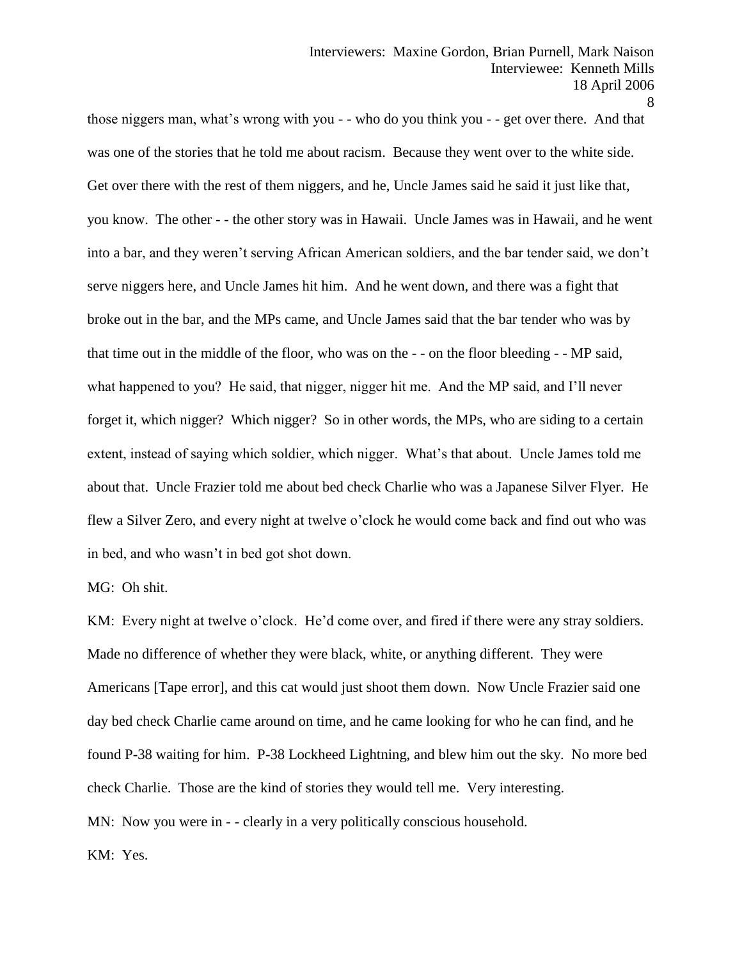those niggers man, what's wrong with you - - who do you think you - - get over there. And that was one of the stories that he told me about racism. Because they went over to the white side. Get over there with the rest of them niggers, and he, Uncle James said he said it just like that, you know. The other - - the other story was in Hawaii. Uncle James was in Hawaii, and he went into a bar, and they weren't serving African American soldiers, and the bar tender said, we don't serve niggers here, and Uncle James hit him. And he went down, and there was a fight that broke out in the bar, and the MPs came, and Uncle James said that the bar tender who was by that time out in the middle of the floor, who was on the - - on the floor bleeding - - MP said, what happened to you? He said, that nigger, nigger hit me. And the MP said, and I'll never forget it, which nigger? Which nigger? So in other words, the MPs, who are siding to a certain extent, instead of saying which soldier, which nigger. What's that about. Uncle James told me about that. Uncle Frazier told me about bed check Charlie who was a Japanese Silver Flyer. He flew a Silver Zero, and every night at twelve o'clock he would come back and find out who was

in bed, and who wasn't in bed got shot down.

MG: Oh shit.

KM: Every night at twelve o'clock. He'd come over, and fired if there were any stray soldiers. Made no difference of whether they were black, white, or anything different. They were Americans [Tape error], and this cat would just shoot them down. Now Uncle Frazier said one day bed check Charlie came around on time, and he came looking for who he can find, and he found P-38 waiting for him. P-38 Lockheed Lightning, and blew him out the sky. No more bed check Charlie. Those are the kind of stories they would tell me. Very interesting. MN: Now you were in - - clearly in a very politically conscious household.

KM: Yes.

<sup>8</sup>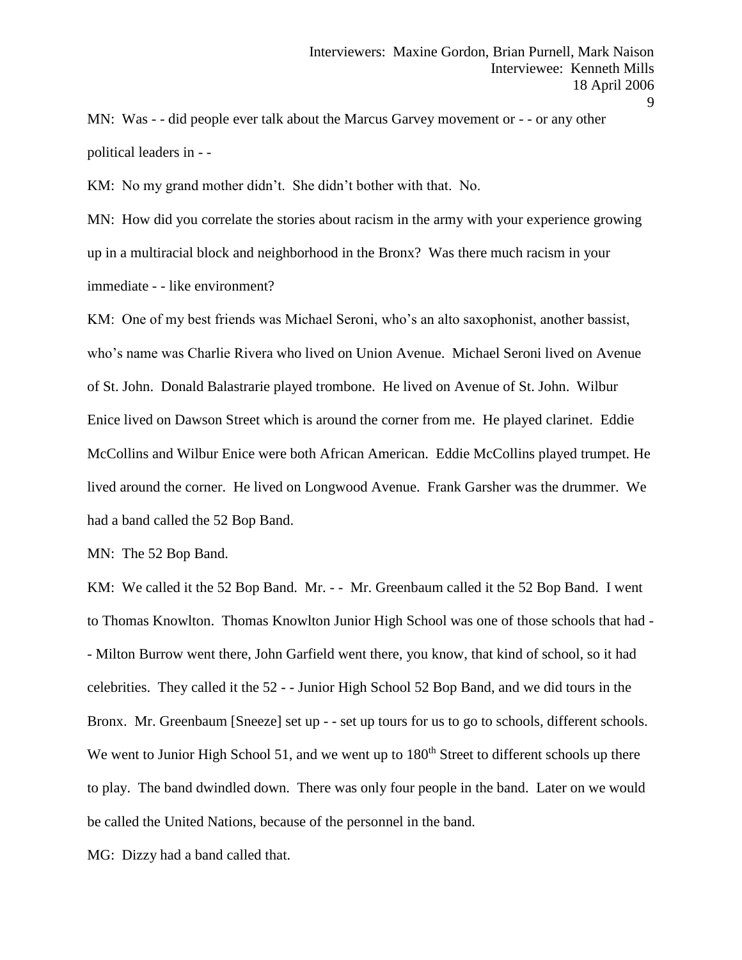MN: Was - - did people ever talk about the Marcus Garvey movement or - - or any other political leaders in - -

KM: No my grand mother didn't. She didn't bother with that. No.

MN: How did you correlate the stories about racism in the army with your experience growing up in a multiracial block and neighborhood in the Bronx? Was there much racism in your immediate - - like environment?

KM: One of my best friends was Michael Seroni, who's an alto saxophonist, another bassist, who's name was Charlie Rivera who lived on Union Avenue. Michael Seroni lived on Avenue of St. John. Donald Balastrarie played trombone. He lived on Avenue of St. John. Wilbur Enice lived on Dawson Street which is around the corner from me. He played clarinet. Eddie McCollins and Wilbur Enice were both African American. Eddie McCollins played trumpet. He lived around the corner. He lived on Longwood Avenue. Frank Garsher was the drummer. We had a band called the 52 Bop Band.

MN: The 52 Bop Band.

KM: We called it the 52 Bop Band. Mr. - - Mr. Greenbaum called it the 52 Bop Band. I went to Thomas Knowlton. Thomas Knowlton Junior High School was one of those schools that had - - Milton Burrow went there, John Garfield went there, you know, that kind of school, so it had celebrities. They called it the 52 - - Junior High School 52 Bop Band, and we did tours in the Bronx. Mr. Greenbaum [Sneeze] set up - - set up tours for us to go to schools, different schools. We went to Junior High School 51, and we went up to  $180<sup>th</sup>$  Street to different schools up there to play. The band dwindled down. There was only four people in the band. Later on we would be called the United Nations, because of the personnel in the band.

MG: Dizzy had a band called that.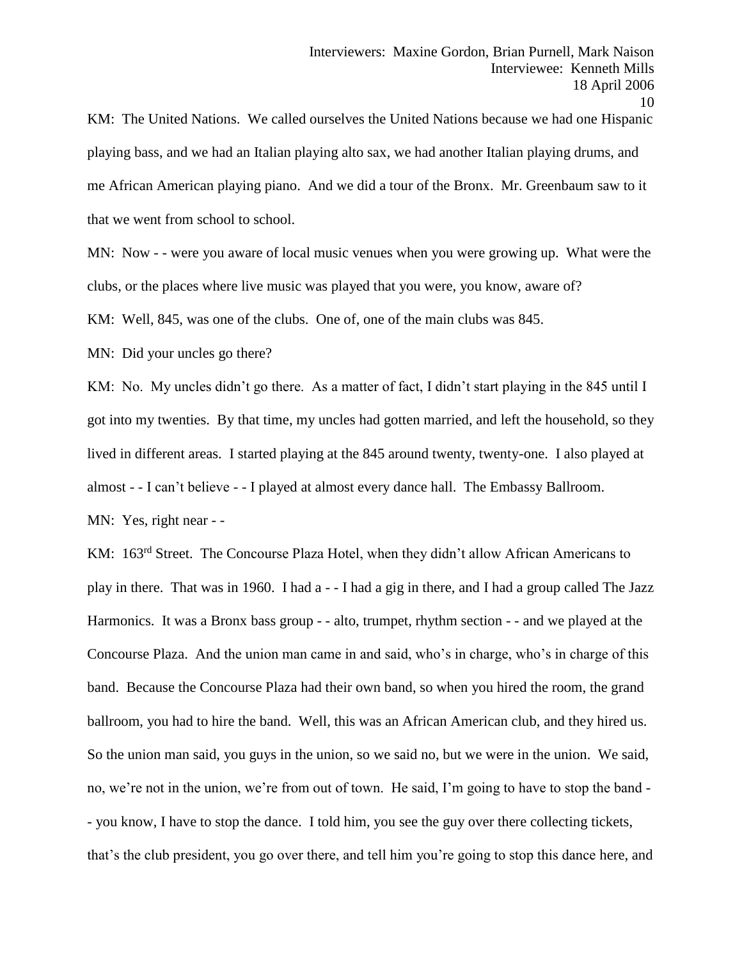KM: The United Nations. We called ourselves the United Nations because we had one Hispanic playing bass, and we had an Italian playing alto sax, we had another Italian playing drums, and me African American playing piano. And we did a tour of the Bronx. Mr. Greenbaum saw to it that we went from school to school.

MN: Now - - were you aware of local music venues when you were growing up. What were the clubs, or the places where live music was played that you were, you know, aware of?

KM: Well, 845, was one of the clubs. One of, one of the main clubs was 845.

MN: Did your uncles go there?

KM: No. My uncles didn't go there. As a matter of fact, I didn't start playing in the 845 until I got into my twenties. By that time, my uncles had gotten married, and left the household, so they lived in different areas. I started playing at the 845 around twenty, twenty-one. I also played at almost - - I can't believe - - I played at almost every dance hall. The Embassy Ballroom. MN: Yes, right near - -

KM: 163<sup>rd</sup> Street. The Concourse Plaza Hotel, when they didn't allow African Americans to play in there. That was in 1960. I had a - - I had a gig in there, and I had a group called The Jazz Harmonics. It was a Bronx bass group - - alto, trumpet, rhythm section - - and we played at the Concourse Plaza. And the union man came in and said, who's in charge, who's in charge of this band. Because the Concourse Plaza had their own band, so when you hired the room, the grand ballroom, you had to hire the band. Well, this was an African American club, and they hired us. So the union man said, you guys in the union, so we said no, but we were in the union. We said, no, we're not in the union, we're from out of town. He said, I'm going to have to stop the band - - you know, I have to stop the dance. I told him, you see the guy over there collecting tickets, that's the club president, you go over there, and tell him you're going to stop this dance here, and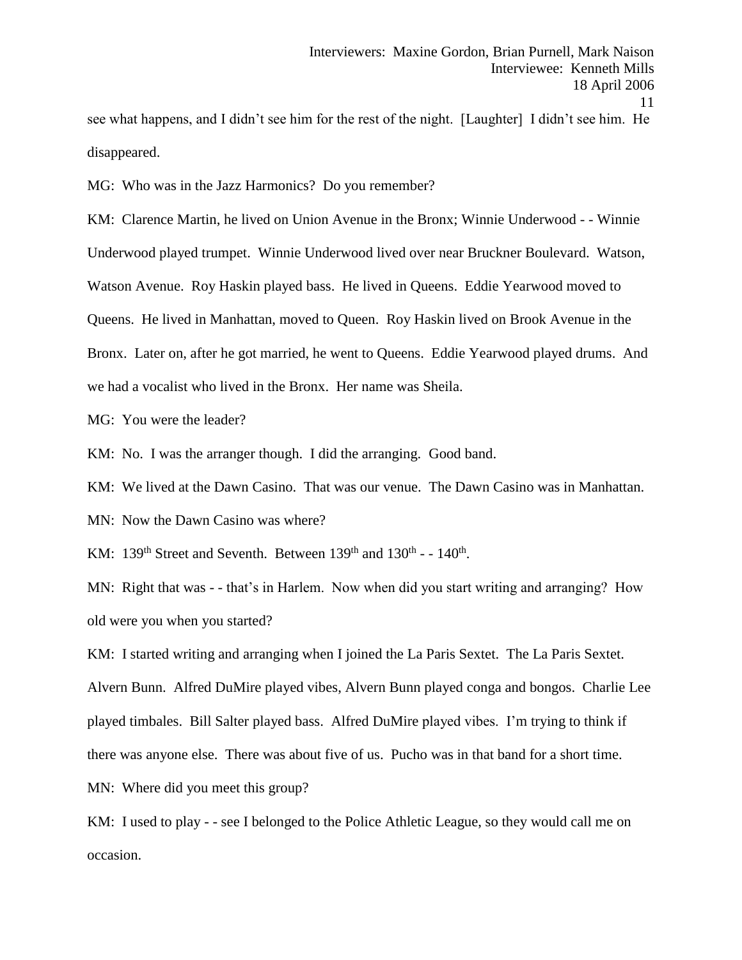see what happens, and I didn't see him for the rest of the night. [Laughter] I didn't see him. He disappeared.

MG: Who was in the Jazz Harmonics? Do you remember?

KM: Clarence Martin, he lived on Union Avenue in the Bronx; Winnie Underwood - - Winnie Underwood played trumpet. Winnie Underwood lived over near Bruckner Boulevard. Watson, Watson Avenue. Roy Haskin played bass. He lived in Queens. Eddie Yearwood moved to Queens. He lived in Manhattan, moved to Queen. Roy Haskin lived on Brook Avenue in the Bronx. Later on, after he got married, he went to Queens. Eddie Yearwood played drums. And we had a vocalist who lived in the Bronx. Her name was Sheila.

MG: You were the leader?

KM: No. I was the arranger though. I did the arranging. Good band.

KM: We lived at the Dawn Casino. That was our venue. The Dawn Casino was in Manhattan.

MN: Now the Dawn Casino was where?

KM:  $139<sup>th</sup>$  Street and Seventh. Between  $139<sup>th</sup>$  and  $130<sup>th</sup>$  -  $-140<sup>th</sup>$ .

MN: Right that was - - that's in Harlem. Now when did you start writing and arranging? How old were you when you started?

KM: I started writing and arranging when I joined the La Paris Sextet. The La Paris Sextet. Alvern Bunn. Alfred DuMire played vibes, Alvern Bunn played conga and bongos. Charlie Lee played timbales. Bill Salter played bass. Alfred DuMire played vibes. I'm trying to think if there was anyone else. There was about five of us. Pucho was in that band for a short time. MN: Where did you meet this group?

KM: I used to play - - see I belonged to the Police Athletic League, so they would call me on occasion.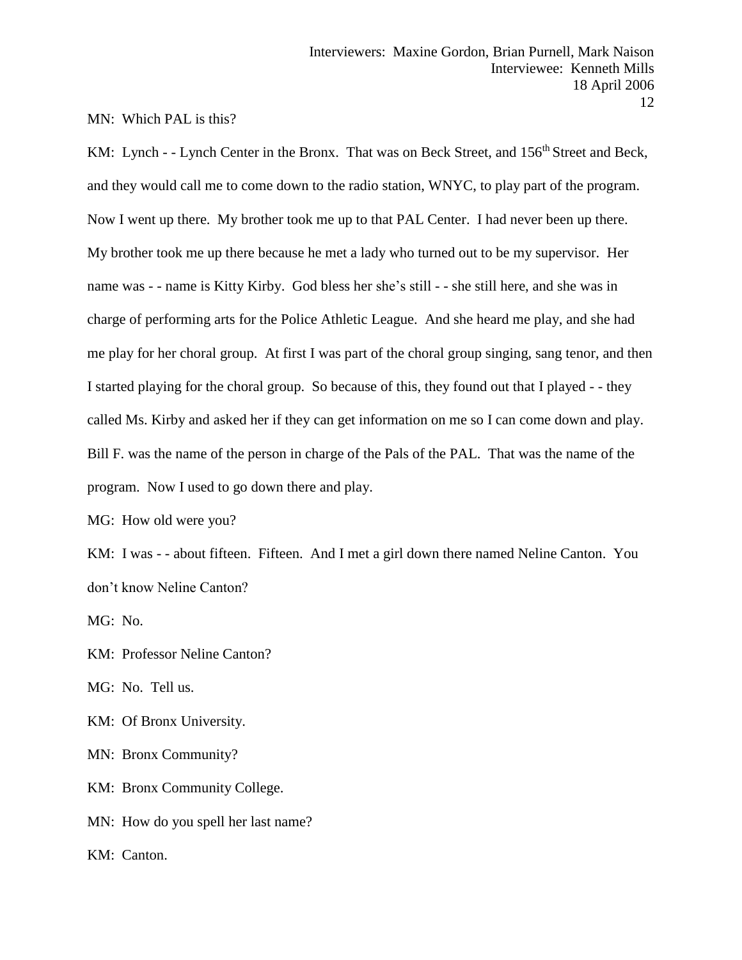MN: Which PAL is this?

KM: Lynch - - Lynch Center in the Bronx. That was on Beck Street, and 156<sup>th</sup> Street and Beck, and they would call me to come down to the radio station, WNYC, to play part of the program. Now I went up there. My brother took me up to that PAL Center. I had never been up there. My brother took me up there because he met a lady who turned out to be my supervisor. Her name was - - name is Kitty Kirby. God bless her she's still - - she still here, and she was in charge of performing arts for the Police Athletic League. And she heard me play, and she had me play for her choral group. At first I was part of the choral group singing, sang tenor, and then I started playing for the choral group. So because of this, they found out that I played - - they called Ms. Kirby and asked her if they can get information on me so I can come down and play. Bill F. was the name of the person in charge of the Pals of the PAL. That was the name of the program. Now I used to go down there and play.

MG: How old were you?

KM: I was - - about fifteen. Fifteen. And I met a girl down there named Neline Canton. You don't know Neline Canton?

MG: No.

KM: Professor Neline Canton?

MG: No. Tell us.

KM: Of Bronx University.

MN: Bronx Community?

KM: Bronx Community College.

MN: How do you spell her last name?

KM: Canton.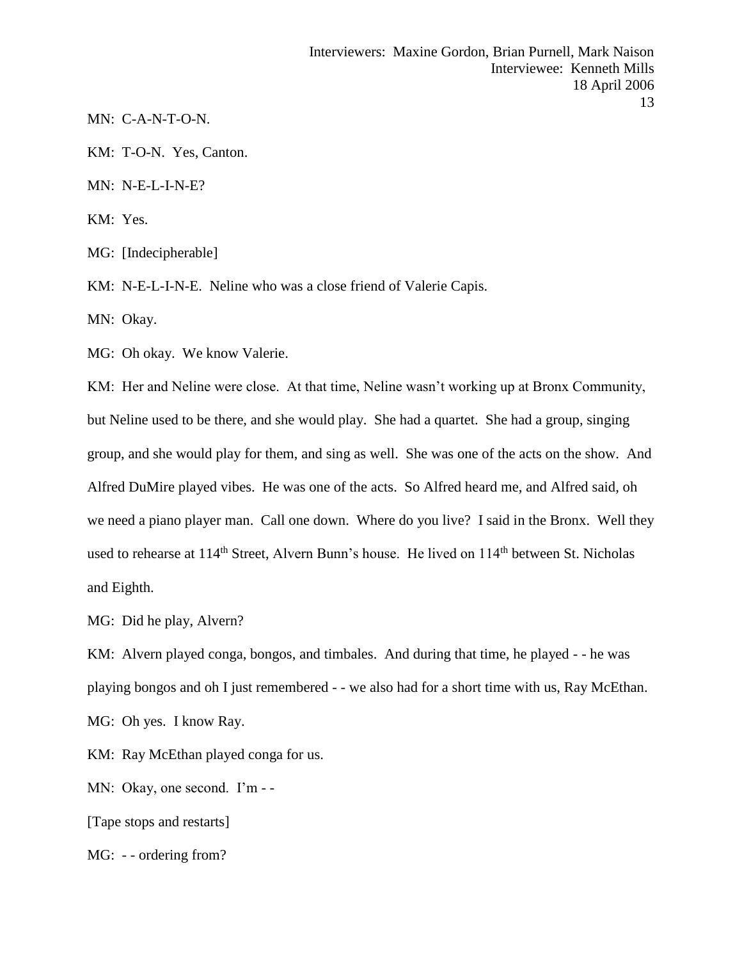MN: C-A-N-T-O-N.

KM: T-O-N. Yes, Canton.

MN: N-E-L-I-N-E?

KM: Yes.

MG: [Indecipherable]

KM: N-E-L-I-N-E. Neline who was a close friend of Valerie Capis.

MN: Okay.

MG: Oh okay. We know Valerie.

KM: Her and Neline were close. At that time, Neline wasn't working up at Bronx Community, but Neline used to be there, and she would play. She had a quartet. She had a group, singing group, and she would play for them, and sing as well. She was one of the acts on the show. And Alfred DuMire played vibes. He was one of the acts. So Alfred heard me, and Alfred said, oh we need a piano player man. Call one down. Where do you live? I said in the Bronx. Well they used to rehearse at 114<sup>th</sup> Street, Alvern Bunn's house. He lived on 114<sup>th</sup> between St. Nicholas and Eighth.

MG: Did he play, Alvern?

KM: Alvern played conga, bongos, and timbales. And during that time, he played - - he was playing bongos and oh I just remembered - - we also had for a short time with us, Ray McEthan. MG: Oh yes. I know Ray.

KM: Ray McEthan played conga for us.

MN: Okay, one second. I'm - -

[Tape stops and restarts]

MG: - - ordering from?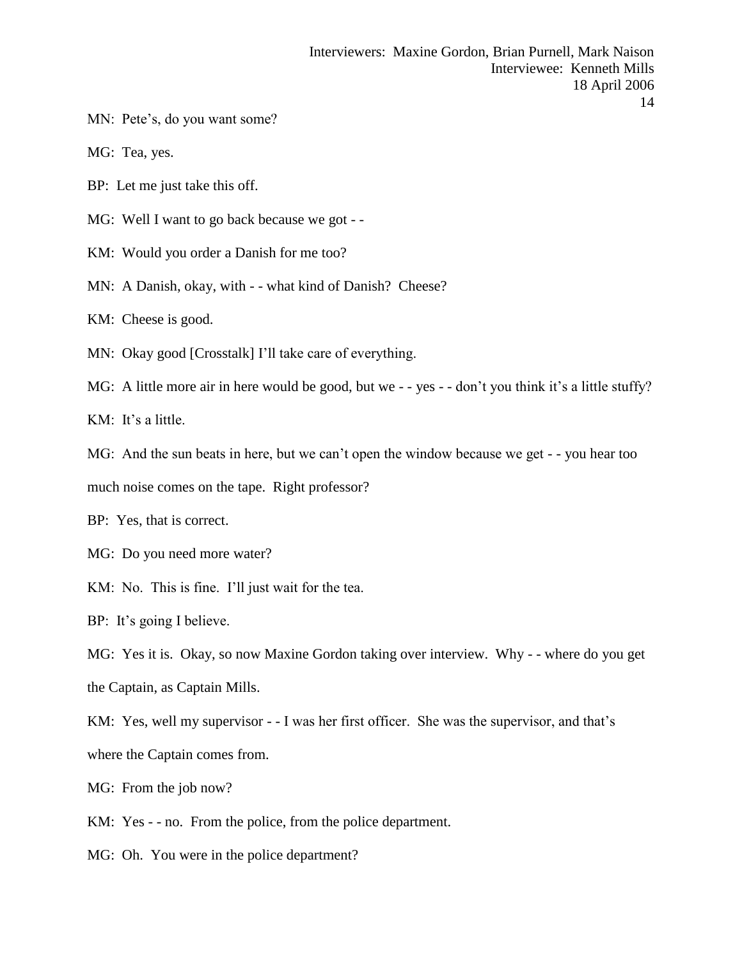- MN: Pete's, do you want some?
- MG: Tea, yes.
- BP: Let me just take this off.
- MG: Well I want to go back because we got -
- KM: Would you order a Danish for me too?
- MN: A Danish, okay, with - what kind of Danish? Cheese?
- KM: Cheese is good.
- MN: Okay good [Crosstalk] I'll take care of everything.
- MG: A little more air in here would be good, but we - yes - don't you think it's a little stuffy?

KM: It's a little.

MG: And the sun beats in here, but we can't open the window because we get - - you hear too

much noise comes on the tape. Right professor?

BP: Yes, that is correct.

- MG: Do you need more water?
- KM: No. This is fine. I'll just wait for the tea.

BP: It's going I believe.

MG: Yes it is. Okay, so now Maxine Gordon taking over interview. Why - - where do you get the Captain, as Captain Mills.

KM: Yes, well my supervisor - - I was her first officer. She was the supervisor, and that's where the Captain comes from.

- MG: From the job now?
- KM: Yes - no. From the police, from the police department.
- MG: Oh. You were in the police department?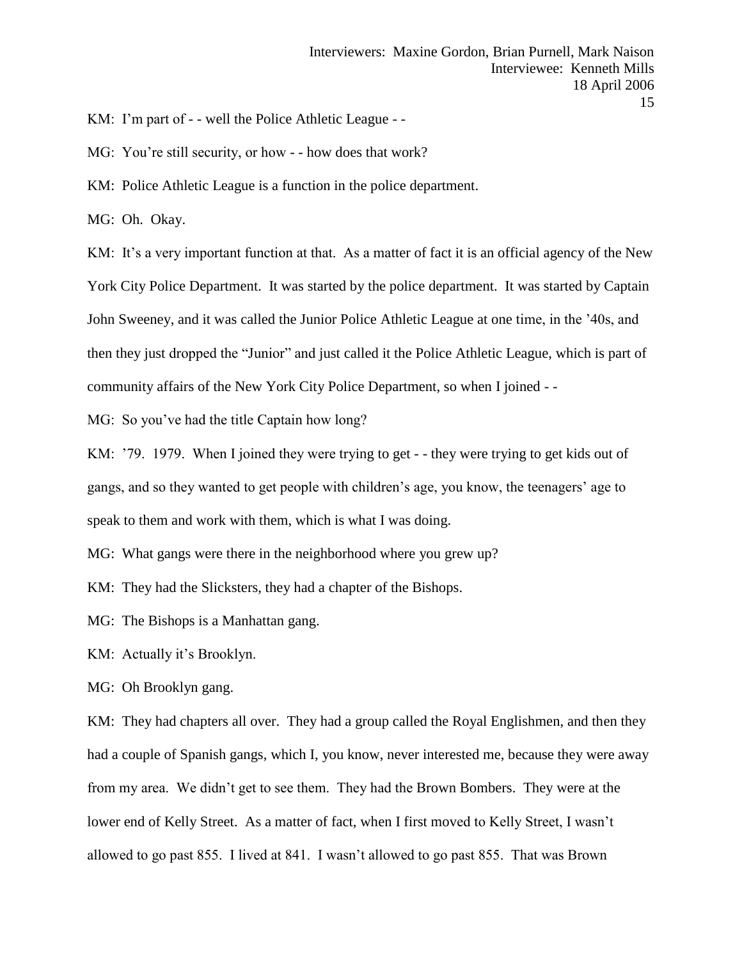KM: I'm part of - - well the Police Athletic League - -

MG: You're still security, or how - - how does that work?

KM: Police Athletic League is a function in the police department.

MG: Oh. Okay.

KM: It's a very important function at that. As a matter of fact it is an official agency of the New York City Police Department. It was started by the police department. It was started by Captain John Sweeney, and it was called the Junior Police Athletic League at one time, in the '40s, and then they just dropped the "Junior" and just called it the Police Athletic League, which is part of community affairs of the New York City Police Department, so when I joined - -

MG: So you've had the title Captain how long?

KM: '79. 1979. When I joined they were trying to get - - they were trying to get kids out of gangs, and so they wanted to get people with children's age, you know, the teenagers' age to speak to them and work with them, which is what I was doing.

MG: What gangs were there in the neighborhood where you grew up?

KM: They had the Slicksters, they had a chapter of the Bishops.

MG: The Bishops is a Manhattan gang.

KM: Actually it's Brooklyn.

MG: Oh Brooklyn gang.

KM: They had chapters all over. They had a group called the Royal Englishmen, and then they had a couple of Spanish gangs, which I, you know, never interested me, because they were away from my area. We didn't get to see them. They had the Brown Bombers. They were at the lower end of Kelly Street. As a matter of fact, when I first moved to Kelly Street, I wasn't allowed to go past 855. I lived at 841. I wasn't allowed to go past 855. That was Brown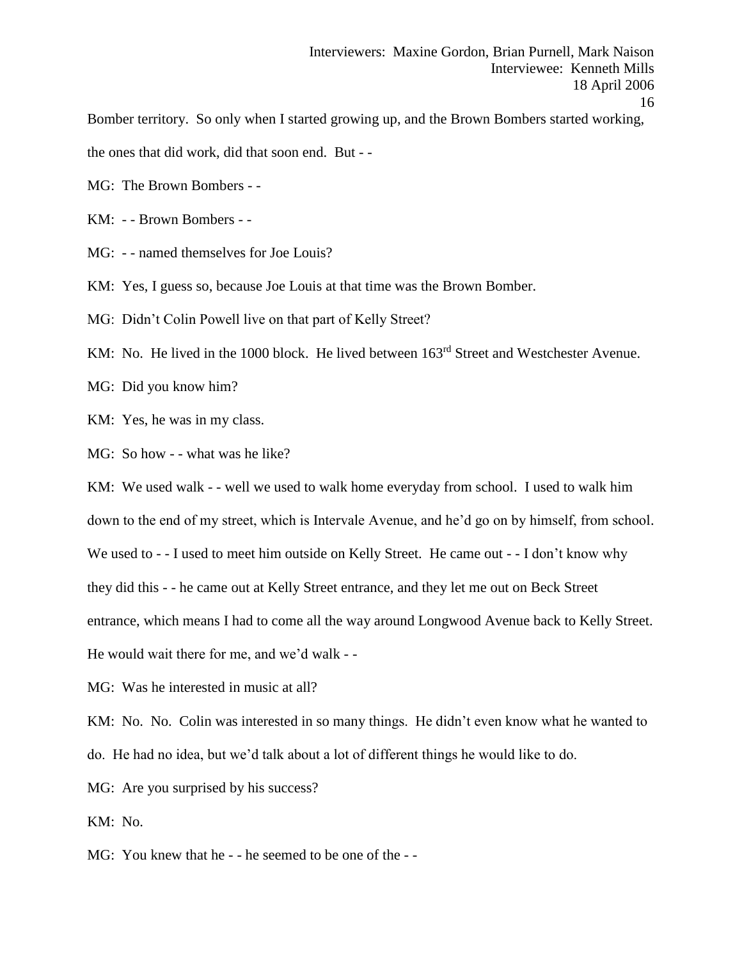Bomber territory. So only when I started growing up, and the Brown Bombers started working,

the ones that did work, did that soon end. But - -

MG: The Brown Bombers - -

KM: - - Brown Bombers - -

MG: - - named themselves for Joe Louis?

KM: Yes, I guess so, because Joe Louis at that time was the Brown Bomber.

MG: Didn't Colin Powell live on that part of Kelly Street?

KM: No. He lived in the 1000 block. He lived between  $163<sup>rd</sup>$  Street and Westchester Avenue.

MG: Did you know him?

KM: Yes, he was in my class.

MG: So how - - what was he like?

KM: We used walk - - well we used to walk home everyday from school. I used to walk him

down to the end of my street, which is Intervale Avenue, and he'd go on by himself, from school.

We used to - - I used to meet him outside on Kelly Street. He came out - - I don't know why

they did this - - he came out at Kelly Street entrance, and they let me out on Beck Street

entrance, which means I had to come all the way around Longwood Avenue back to Kelly Street.

He would wait there for me, and we'd walk - -

MG: Was he interested in music at all?

KM: No. No. Colin was interested in so many things. He didn't even know what he wanted to do. He had no idea, but we'd talk about a lot of different things he would like to do.

MG: Are you surprised by his success?

KM: No.

MG: You knew that he - - he seemed to be one of the - -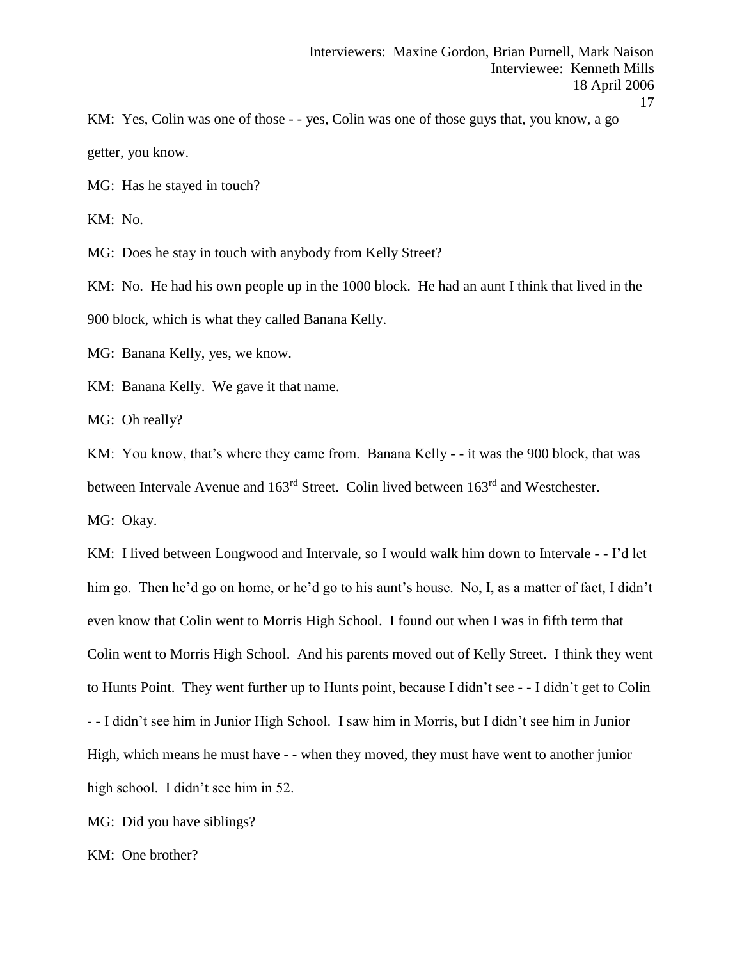KM: Yes, Colin was one of those - - yes, Colin was one of those guys that, you know, a go getter, you know.

MG: Has he stayed in touch?

KM: No.

MG: Does he stay in touch with anybody from Kelly Street?

KM: No. He had his own people up in the 1000 block. He had an aunt I think that lived in the 900 block, which is what they called Banana Kelly.

MG: Banana Kelly, yes, we know.

KM: Banana Kelly. We gave it that name.

MG: Oh really?

KM: You know, that's where they came from. Banana Kelly - - it was the 900 block, that was between Intervale Avenue and 163rd Street. Colin lived between 163rd and Westchester.

MG: Okay.

KM: I lived between Longwood and Intervale, so I would walk him down to Intervale - - I'd let him go. Then he'd go on home, or he'd go to his aunt's house. No, I, as a matter of fact, I didn't even know that Colin went to Morris High School. I found out when I was in fifth term that Colin went to Morris High School. And his parents moved out of Kelly Street. I think they went to Hunts Point. They went further up to Hunts point, because I didn't see - - I didn't get to Colin - - I didn't see him in Junior High School. I saw him in Morris, but I didn't see him in Junior High, which means he must have - - when they moved, they must have went to another junior high school. I didn't see him in 52.

MG: Did you have siblings?

KM: One brother?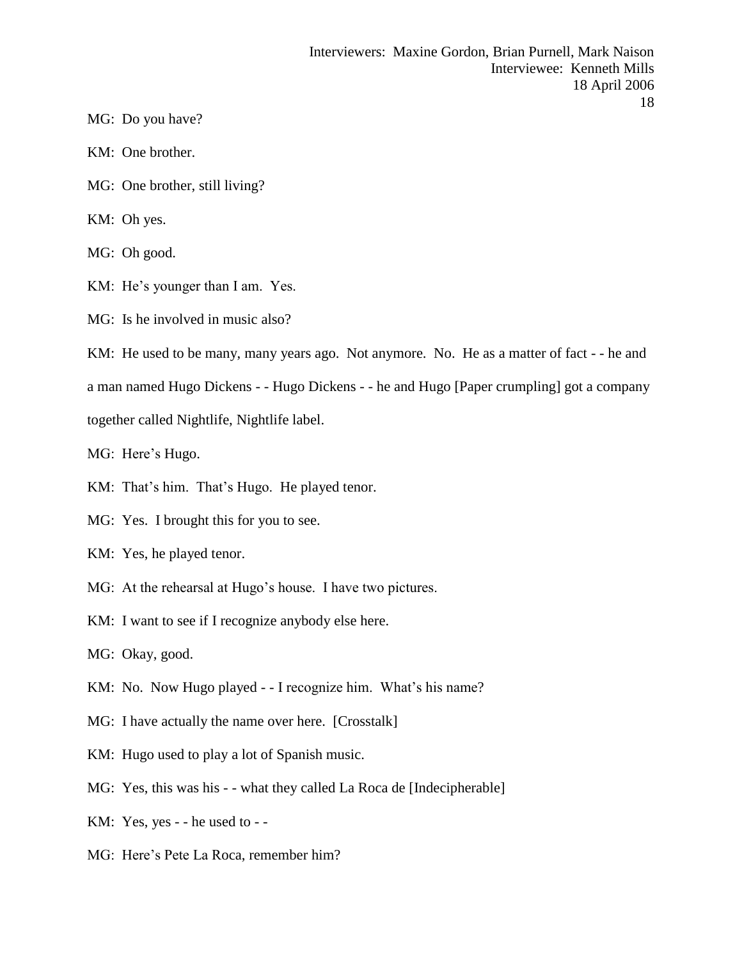- MG: Do you have?
- KM: One brother.
- MG: One brother, still living?
- KM: Oh yes.
- MG: Oh good.
- KM: He's younger than I am. Yes.
- MG: Is he involved in music also?
- KM: He used to be many, many years ago. Not anymore. No. He as a matter of fact - he and a man named Hugo Dickens - - Hugo Dickens - - he and Hugo [Paper crumpling] got a company together called Nightlife, Nightlife label.
- MG: Here's Hugo.
- KM: That's him. That's Hugo. He played tenor.
- MG: Yes. I brought this for you to see.
- KM: Yes, he played tenor.
- MG: At the rehearsal at Hugo's house. I have two pictures.
- KM: I want to see if I recognize anybody else here.
- MG: Okay, good.
- KM: No. Now Hugo played - I recognize him. What's his name?
- MG: I have actually the name over here. [Crosstalk]
- KM: Hugo used to play a lot of Spanish music.
- MG: Yes, this was his - what they called La Roca de [Indecipherable]
- KM: Yes, yes - he used to -
- MG: Here's Pete La Roca, remember him?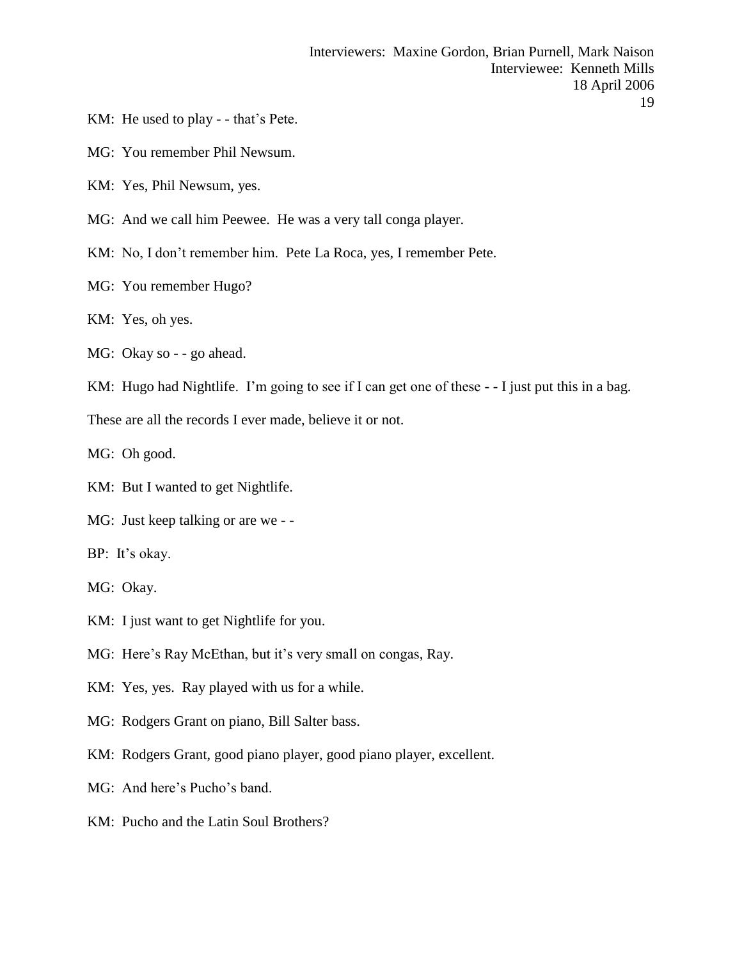- KM: He used to play - that's Pete.
- MG: You remember Phil Newsum.
- KM: Yes, Phil Newsum, yes.
- MG: And we call him Peewee. He was a very tall conga player.
- KM: No, I don't remember him. Pete La Roca, yes, I remember Pete.
- MG: You remember Hugo?
- KM: Yes, oh yes.
- MG: Okay so - go ahead.
- KM: Hugo had Nightlife. I'm going to see if I can get one of these - I just put this in a bag.

These are all the records I ever made, believe it or not.

MG: Oh good.

- KM: But I wanted to get Nightlife.
- MG: Just keep talking or are we -
- BP: It's okay.
- MG: Okay.
- KM: I just want to get Nightlife for you.
- MG: Here's Ray McEthan, but it's very small on congas, Ray.
- KM: Yes, yes. Ray played with us for a while.
- MG: Rodgers Grant on piano, Bill Salter bass.
- KM: Rodgers Grant, good piano player, good piano player, excellent.
- MG: And here's Pucho's band.
- KM: Pucho and the Latin Soul Brothers?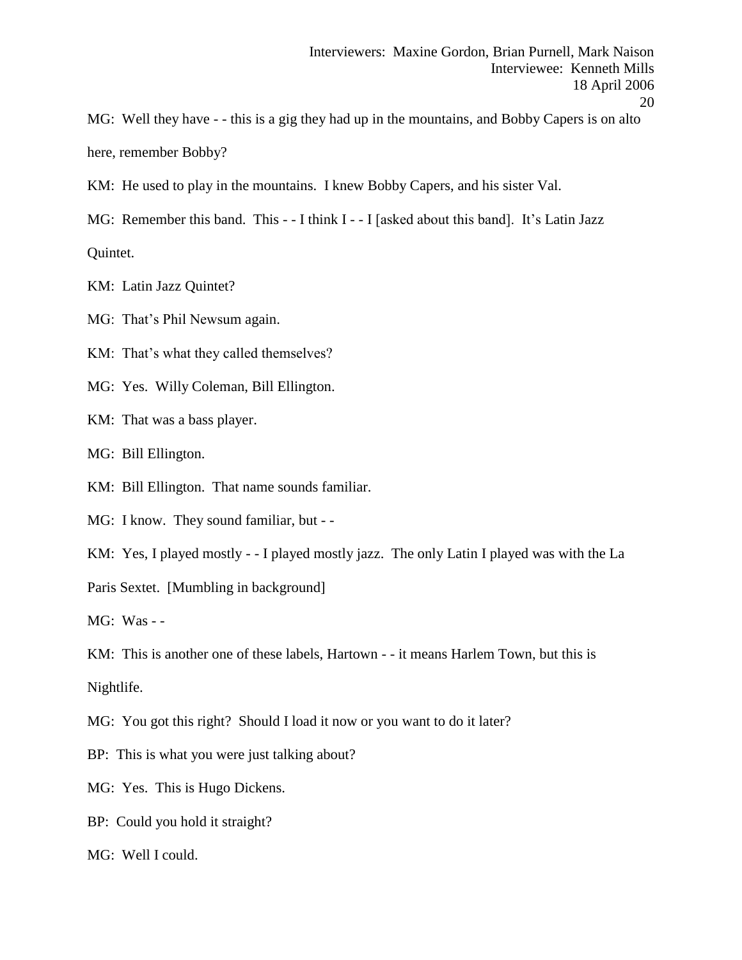MG: Well they have - - this is a gig they had up in the mountains, and Bobby Capers is on alto here, remember Bobby?

KM: He used to play in the mountains. I knew Bobby Capers, and his sister Val.

MG: Remember this band. This - - I think I - - I [asked about this band]. It's Latin Jazz

Quintet.

KM: Latin Jazz Quintet?

MG: That's Phil Newsum again.

KM: That's what they called themselves?

MG: Yes. Willy Coleman, Bill Ellington.

KM: That was a bass player.

MG: Bill Ellington.

KM: Bill Ellington. That name sounds familiar.

MG: I know. They sound familiar, but - -

KM: Yes, I played mostly - - I played mostly jazz. The only Latin I played was with the La

Paris Sextet. [Mumbling in background]

MG: Was - -

KM: This is another one of these labels, Hartown - - it means Harlem Town, but this is Nightlife.

MG: You got this right? Should I load it now or you want to do it later?

BP: This is what you were just talking about?

MG: Yes. This is Hugo Dickens.

BP: Could you hold it straight?

MG: Well I could.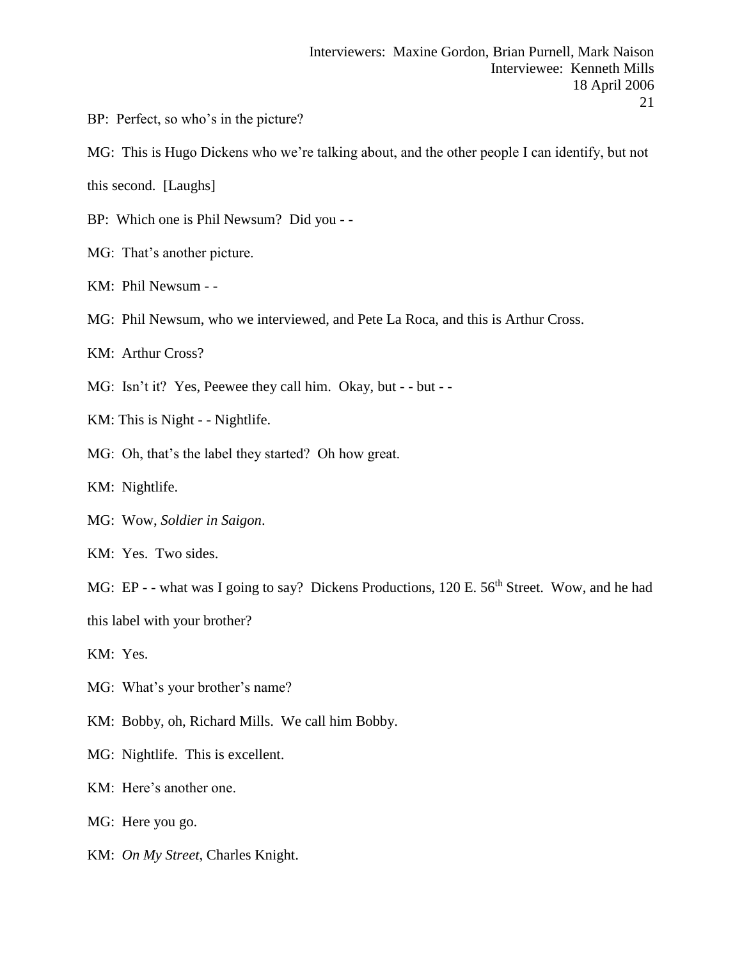- BP: Perfect, so who's in the picture?
- MG: This is Hugo Dickens who we're talking about, and the other people I can identify, but not

this second. [Laughs]

- BP: Which one is Phil Newsum? Did you -
- MG: That's another picture.
- KM: Phil Newsum -
- MG: Phil Newsum, who we interviewed, and Pete La Roca, and this is Arthur Cross.
- KM: Arthur Cross?
- MG: Isn't it? Yes, Peewee they call him. Okay, but - but -
- KM: This is Night - Nightlife.
- MG: Oh, that's the label they started? Oh how great.
- KM: Nightlife.
- MG: Wow, *Soldier in Saigon*.
- KM: Yes. Two sides.
- MG: EP - what was I going to say? Dickens Productions, 120 E. 56<sup>th</sup> Street. Wow, and he had this label with your brother?
- KM: Yes.
- MG: What's your brother's name?
- KM: Bobby, oh, Richard Mills. We call him Bobby.
- MG: Nightlife. This is excellent.
- KM: Here's another one.
- MG: Here you go.
- KM: *On My Street*, Charles Knight.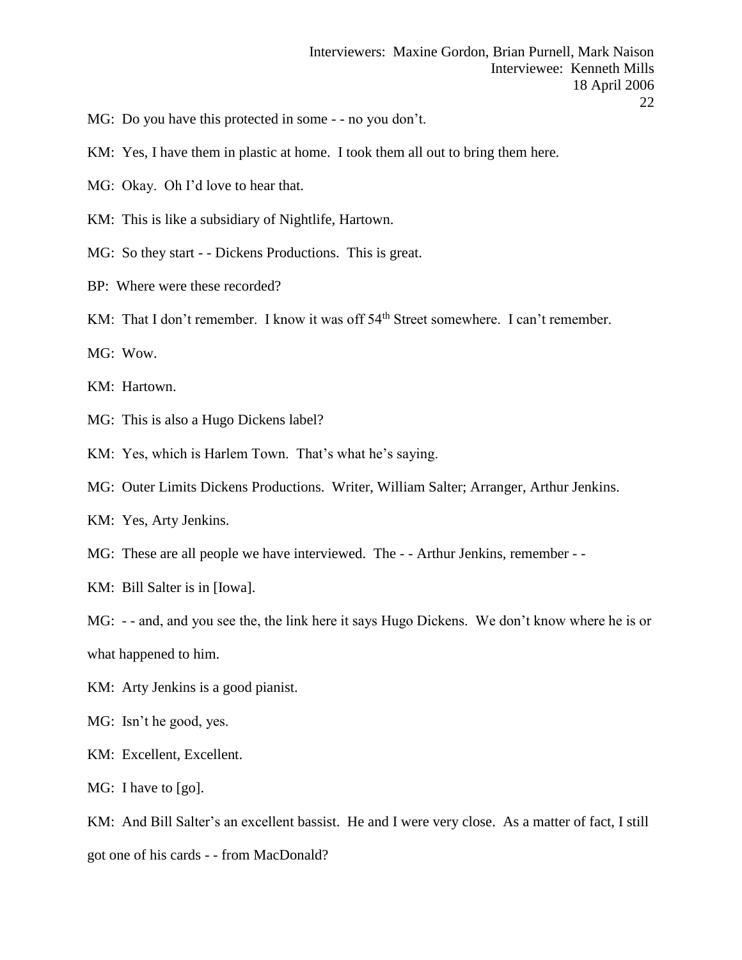- MG: Do you have this protected in some - no you don't.
- KM: Yes, I have them in plastic at home. I took them all out to bring them here.
- MG: Okay. Oh I'd love to hear that.
- KM: This is like a subsidiary of Nightlife, Hartown.
- MG: So they start - Dickens Productions. This is great.
- BP: Where were these recorded?
- KM: That I don't remember. I know it was off 54<sup>th</sup> Street somewhere. I can't remember.

MG: Wow.

- KM: Hartown.
- MG: This is also a Hugo Dickens label?
- KM: Yes, which is Harlem Town. That's what he's saying.
- MG: Outer Limits Dickens Productions. Writer, William Salter; Arranger, Arthur Jenkins.
- KM: Yes, Arty Jenkins.
- MG: These are all people we have interviewed. The - Arthur Jenkins, remember -
- KM: Bill Salter is in [Iowa].

MG: - - and, and you see the, the link here it says Hugo Dickens. We don't know where he is or what happened to him.

- KM: Arty Jenkins is a good pianist.
- MG: Isn't he good, yes.
- KM: Excellent, Excellent.
- MG: I have to [go].

KM: And Bill Salter's an excellent bassist. He and I were very close. As a matter of fact, I still got one of his cards - - from MacDonald?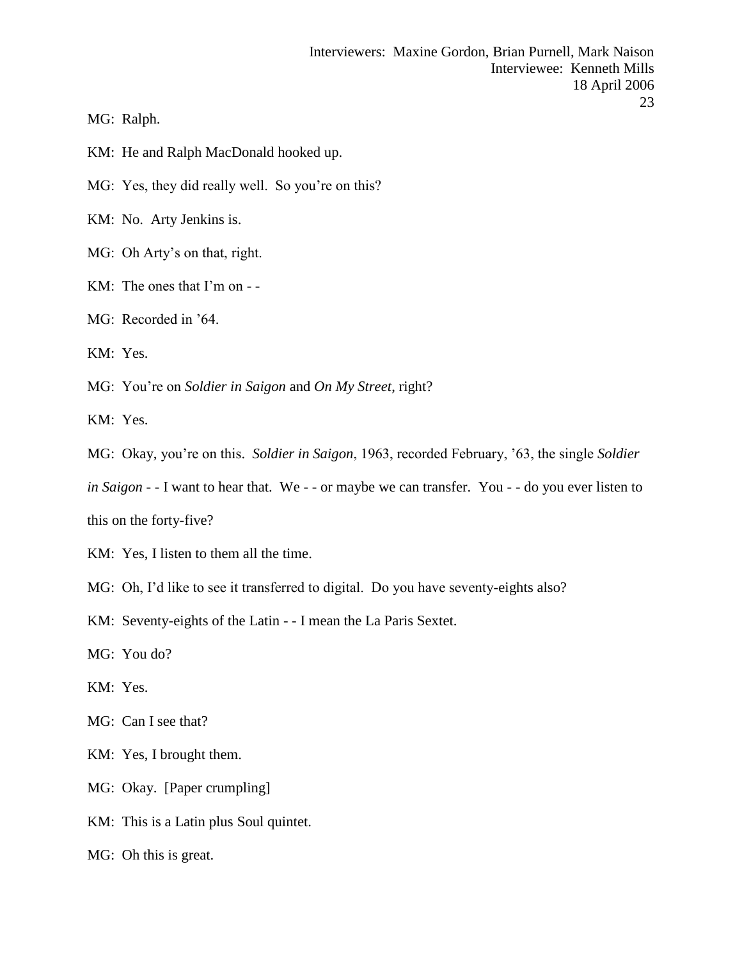MG: Ralph.

KM: He and Ralph MacDonald hooked up.

MG: Yes, they did really well. So you're on this?

KM: No. Arty Jenkins is.

- MG: Oh Arty's on that, right.
- KM: The ones that I'm on -
- MG: Recorded in '64.
- KM: Yes.

MG: You're on *Soldier in Saigon* and *On My Street*, right?

KM: Yes.

MG: Okay, you're on this. *Soldier in Saigon*, 1963, recorded February, '63, the single *Soldier* 

*in Saigon* - - I want to hear that. We - - or maybe we can transfer. You - - do you ever listen to

this on the forty-five?

- KM: Yes, I listen to them all the time.
- MG: Oh, I'd like to see it transferred to digital. Do you have seventy-eights also?

KM: Seventy-eights of the Latin - - I mean the La Paris Sextet.

- MG: You do?
- KM: Yes.
- MG: Can I see that?
- KM: Yes, I brought them.
- MG: Okay. [Paper crumpling]
- KM: This is a Latin plus Soul quintet.
- MG: Oh this is great.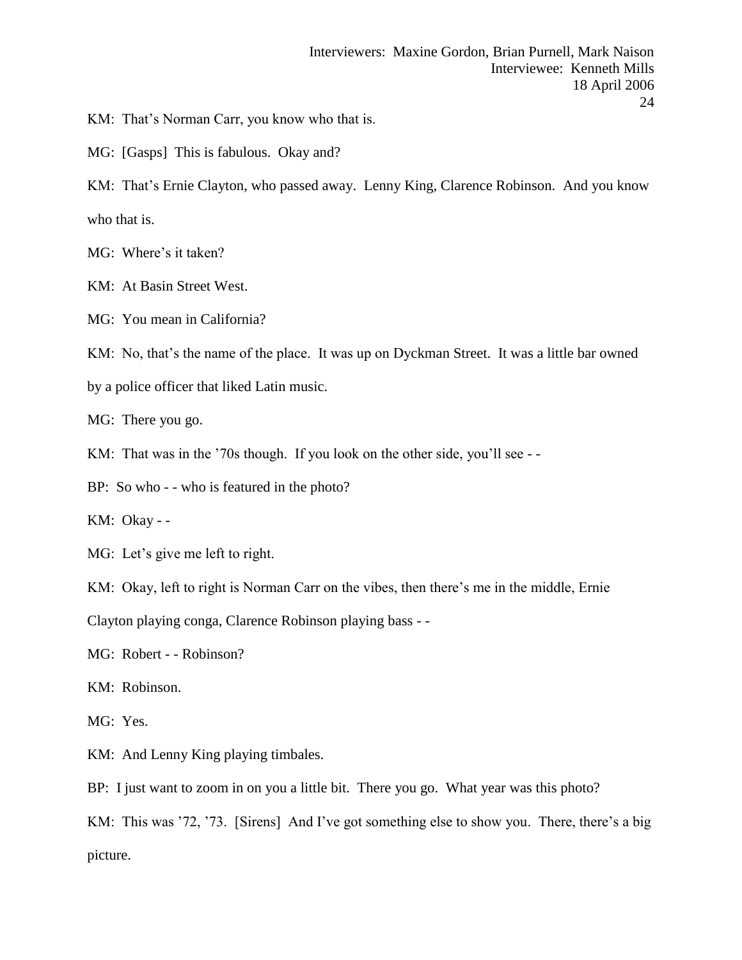KM: That's Norman Carr, you know who that is.

MG: [Gasps] This is fabulous. Okay and?

KM: That's Ernie Clayton, who passed away. Lenny King, Clarence Robinson. And you know who that is.

MG: Where's it taken?

KM: At Basin Street West.

MG: You mean in California?

KM: No, that's the name of the place. It was up on Dyckman Street. It was a little bar owned

by a police officer that liked Latin music.

MG: There you go.

KM: That was in the '70s though. If you look on the other side, you'll see --

BP: So who - - who is featured in the photo?

KM: Okay - -

MG: Let's give me left to right.

KM: Okay, left to right is Norman Carr on the vibes, then there's me in the middle, Ernie

Clayton playing conga, Clarence Robinson playing bass - -

MG: Robert - - Robinson?

KM: Robinson.

MG: Yes.

KM: And Lenny King playing timbales.

BP: I just want to zoom in on you a little bit. There you go. What year was this photo?

KM: This was '72, '73. [Sirens] And I've got something else to show you. There, there's a big picture.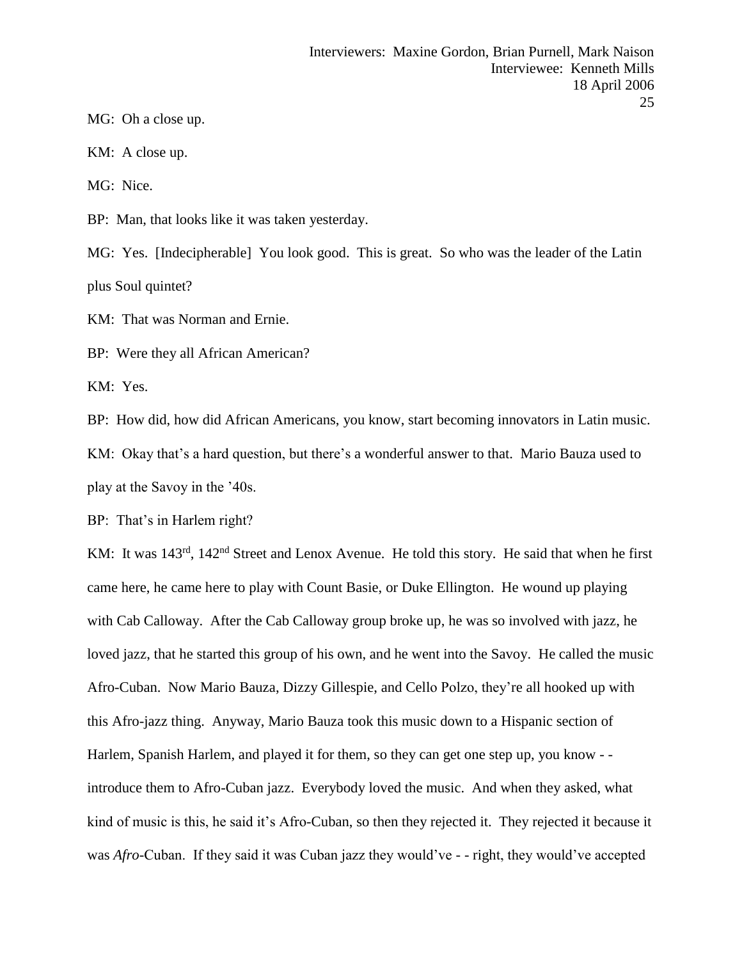MG: Oh a close up.

KM: A close up.

MG: Nice.

BP: Man, that looks like it was taken yesterday.

MG: Yes. [Indecipherable] You look good. This is great. So who was the leader of the Latin plus Soul quintet?

KM: That was Norman and Ernie.

BP: Were they all African American?

KM: Yes.

BP: How did, how did African Americans, you know, start becoming innovators in Latin music. KM: Okay that's a hard question, but there's a wonderful answer to that. Mario Bauza used to play at the Savoy in the '40s.

BP: That's in Harlem right?

KM: It was 143<sup>rd</sup>, 142<sup>nd</sup> Street and Lenox Avenue. He told this story. He said that when he first came here, he came here to play with Count Basie, or Duke Ellington. He wound up playing with Cab Calloway. After the Cab Calloway group broke up, he was so involved with jazz, he loved jazz, that he started this group of his own, and he went into the Savoy. He called the music Afro-Cuban. Now Mario Bauza, Dizzy Gillespie, and Cello Polzo, they're all hooked up with this Afro-jazz thing. Anyway, Mario Bauza took this music down to a Hispanic section of Harlem, Spanish Harlem, and played it for them, so they can get one step up, you know - introduce them to Afro-Cuban jazz. Everybody loved the music. And when they asked, what kind of music is this, he said it's Afro-Cuban, so then they rejected it. They rejected it because it was *Afro*-Cuban. If they said it was Cuban jazz they would've - - right, they would've accepted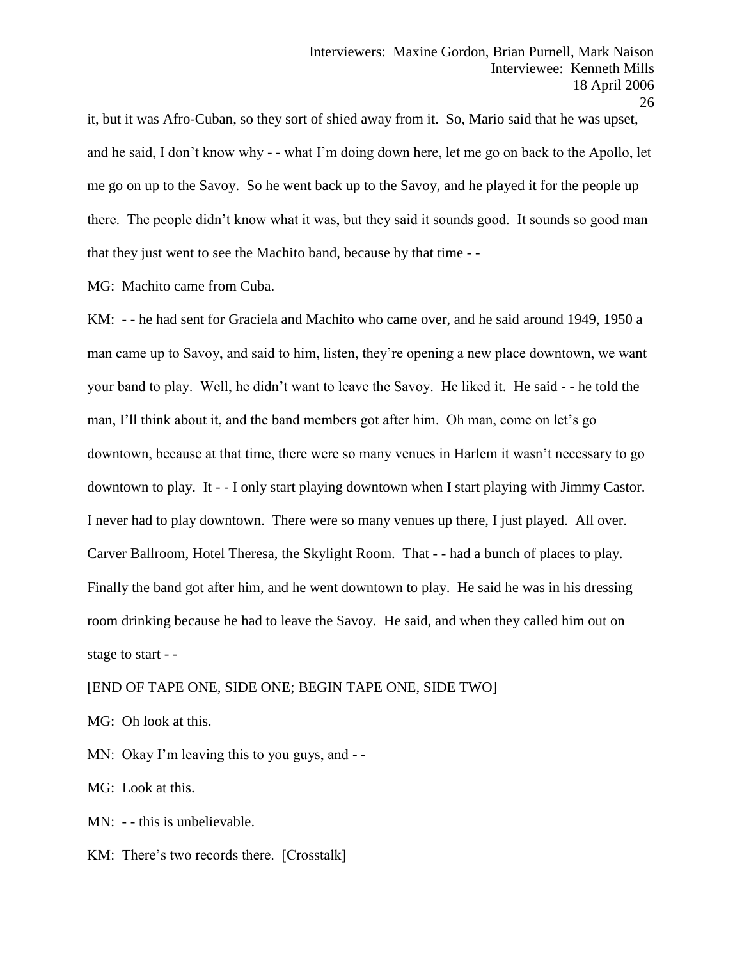it, but it was Afro-Cuban, so they sort of shied away from it. So, Mario said that he was upset, and he said, I don't know why - - what I'm doing down here, let me go on back to the Apollo, let me go on up to the Savoy. So he went back up to the Savoy, and he played it for the people up there. The people didn't know what it was, but they said it sounds good. It sounds so good man that they just went to see the Machito band, because by that time - -

MG: Machito came from Cuba.

KM: - - he had sent for Graciela and Machito who came over, and he said around 1949, 1950 a man came up to Savoy, and said to him, listen, they're opening a new place downtown, we want your band to play. Well, he didn't want to leave the Savoy. He liked it. He said - - he told the man, I'll think about it, and the band members got after him. Oh man, come on let's go downtown, because at that time, there were so many venues in Harlem it wasn't necessary to go downtown to play. It - - I only start playing downtown when I start playing with Jimmy Castor. I never had to play downtown. There were so many venues up there, I just played. All over. Carver Ballroom, Hotel Theresa, the Skylight Room. That - - had a bunch of places to play. Finally the band got after him, and he went downtown to play. He said he was in his dressing room drinking because he had to leave the Savoy. He said, and when they called him out on stage to start - -

[END OF TAPE ONE, SIDE ONE; BEGIN TAPE ONE, SIDE TWO]

MG: Oh look at this.

MN: Okay I'm leaving this to you guys, and - -

MG: Look at this.

MN: - - this is unbelievable.

KM: There's two records there. [Crosstalk]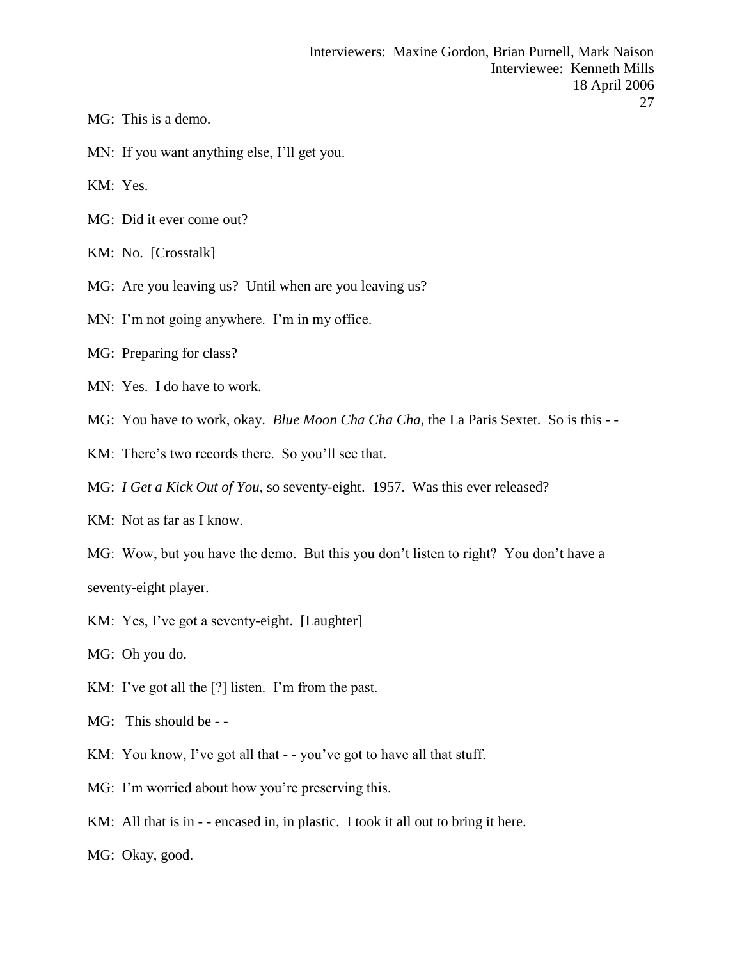- MG: This is a demo.
- MN: If you want anything else, I'll get you.

KM: Yes.

- MG: Did it ever come out?
- KM: No. [Crosstalk]
- MG: Are you leaving us? Until when are you leaving us?
- MN: I'm not going anywhere. I'm in my office.
- MG: Preparing for class?
- MN: Yes. I do have to work.
- MG: You have to work, okay. *Blue Moon Cha Cha Cha*, the La Paris Sextet. So is this -
- KM: There's two records there. So you'll see that.
- MG: *I Get a Kick Out of You*, so seventy-eight. 1957. Was this ever released?
- KM: Not as far as I know.
- MG: Wow, but you have the demo. But this you don't listen to right? You don't have a seventy-eight player.
- KM: Yes, I've got a seventy-eight. [Laughter]
- MG: Oh you do.
- KM: I've got all the [?] listen. I'm from the past.
- MG: This should be -
- KM: You know, I've got all that - you've got to have all that stuff.
- MG: I'm worried about how you're preserving this.
- KM: All that is in - encased in, in plastic. I took it all out to bring it here.
- MG: Okay, good.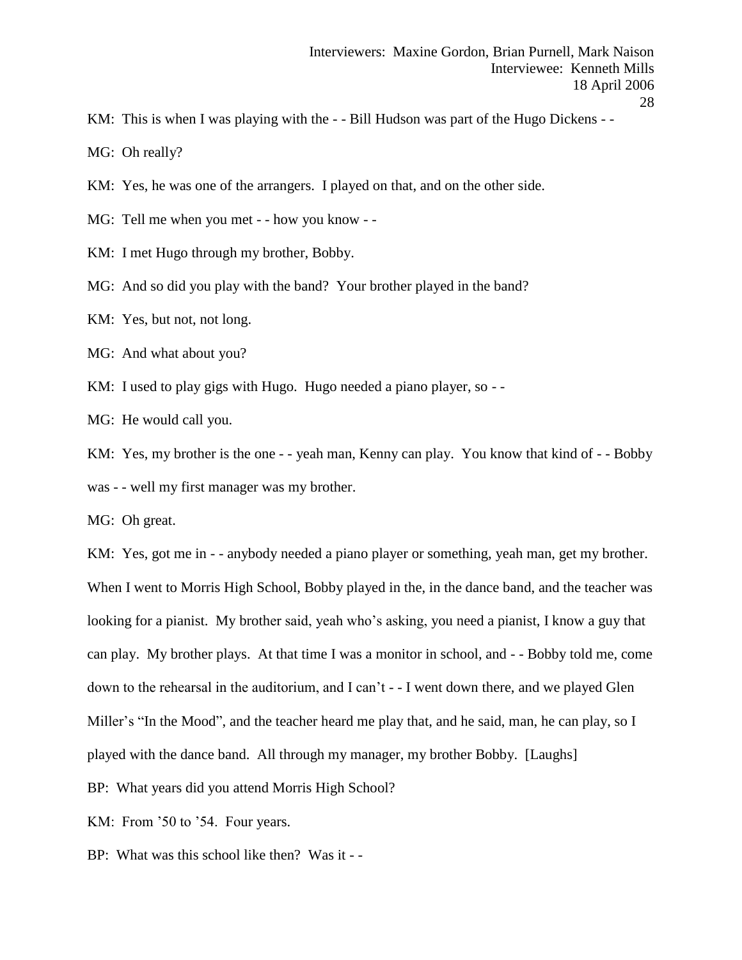KM: This is when I was playing with the - - Bill Hudson was part of the Hugo Dickens - -

MG: Oh really?

- KM: Yes, he was one of the arrangers. I played on that, and on the other side.
- MG: Tell me when you met - how you know -
- KM: I met Hugo through my brother, Bobby.
- MG: And so did you play with the band? Your brother played in the band?
- KM: Yes, but not, not long.
- MG: And what about you?
- KM: I used to play gigs with Hugo. Hugo needed a piano player, so -
- MG: He would call you.

KM: Yes, my brother is the one - - yeah man, Kenny can play. You know that kind of - - Bobby was - - well my first manager was my brother.

MG: Oh great.

KM: Yes, got me in - - anybody needed a piano player or something, yeah man, get my brother. When I went to Morris High School, Bobby played in the, in the dance band, and the teacher was looking for a pianist. My brother said, yeah who's asking, you need a pianist, I know a guy that can play. My brother plays. At that time I was a monitor in school, and - - Bobby told me, come down to the rehearsal in the auditorium, and I can't - - I went down there, and we played Glen Miller's "In the Mood", and the teacher heard me play that, and he said, man, he can play, so I played with the dance band. All through my manager, my brother Bobby. [Laughs]

BP: What years did you attend Morris High School?

KM: From '50 to '54. Four years.

BP: What was this school like then? Was it - -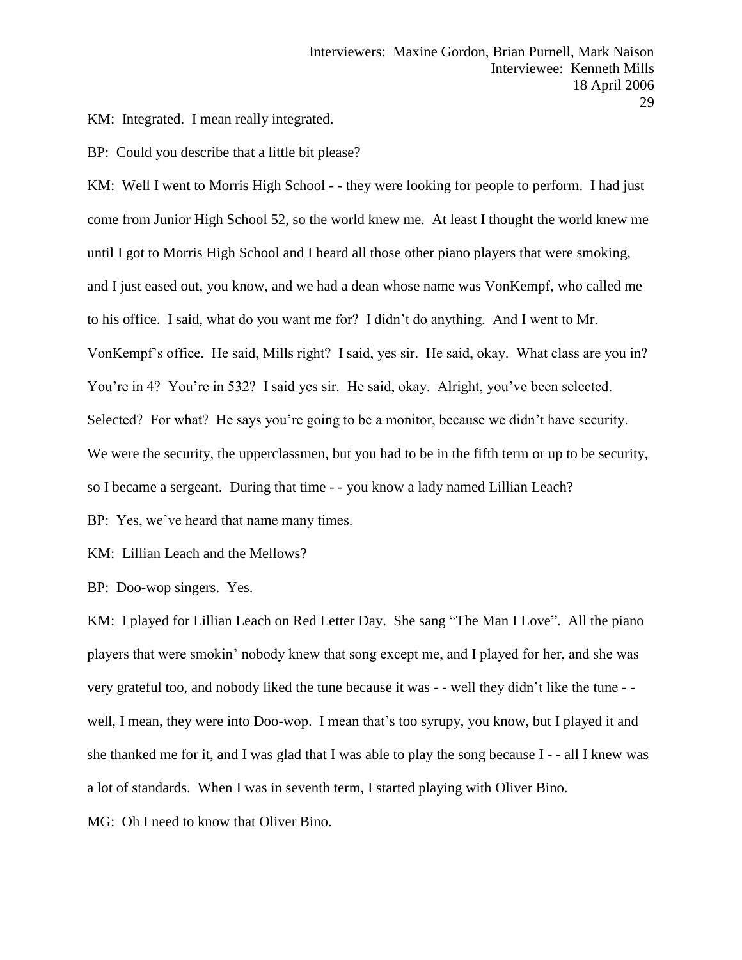KM: Integrated. I mean really integrated.

BP: Could you describe that a little bit please?

KM: Well I went to Morris High School - - they were looking for people to perform. I had just come from Junior High School 52, so the world knew me. At least I thought the world knew me until I got to Morris High School and I heard all those other piano players that were smoking, and I just eased out, you know, and we had a dean whose name was VonKempf, who called me to his office. I said, what do you want me for? I didn't do anything. And I went to Mr. VonKempf's office. He said, Mills right? I said, yes sir. He said, okay. What class are you in? You're in 4? You're in 532? I said yes sir. He said, okay. Alright, you've been selected. Selected? For what? He says you're going to be a monitor, because we didn't have security. We were the security, the upperclassmen, but you had to be in the fifth term or up to be security, so I became a sergeant. During that time - - you know a lady named Lillian Leach?

BP: Yes, we've heard that name many times.

KM: Lillian Leach and the Mellows?

BP: Doo-wop singers. Yes.

KM: I played for Lillian Leach on Red Letter Day. She sang "The Man I Love". All the piano players that were smokin' nobody knew that song except me, and I played for her, and she was very grateful too, and nobody liked the tune because it was - - well they didn't like the tune - well, I mean, they were into Doo-wop. I mean that's too syrupy, you know, but I played it and she thanked me for it, and I was glad that I was able to play the song because I - - all I knew was a lot of standards. When I was in seventh term, I started playing with Oliver Bino.

MG: Oh I need to know that Oliver Bino.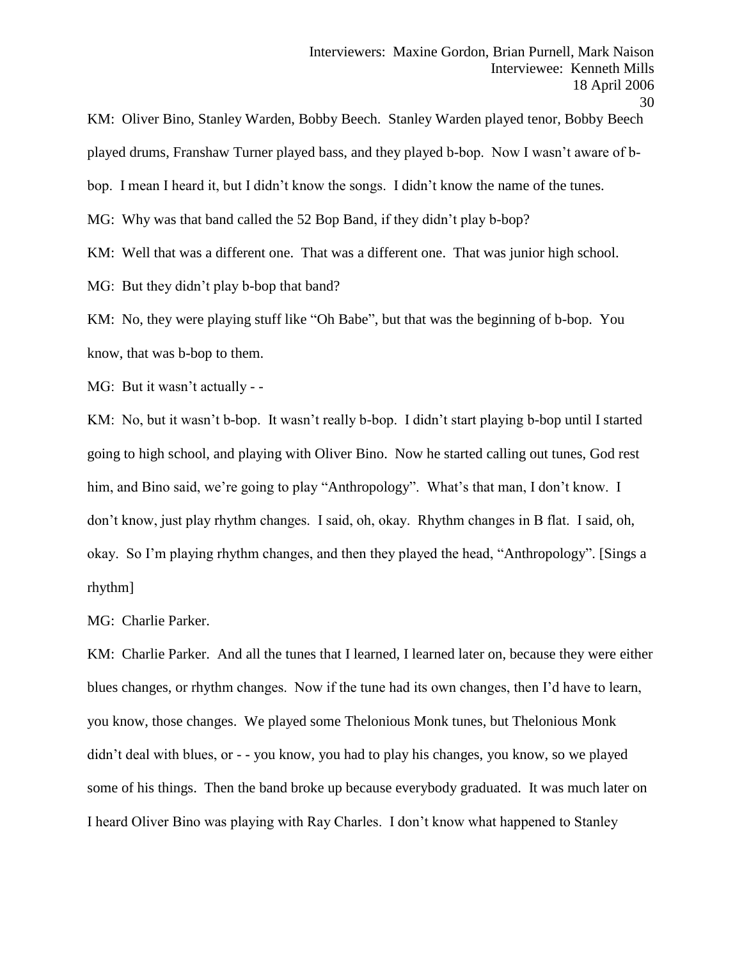played drums, Franshaw Turner played bass, and they played b-bop. Now I wasn't aware of b-

KM: Oliver Bino, Stanley Warden, Bobby Beech. Stanley Warden played tenor, Bobby Beech

bop. I mean I heard it, but I didn't know the songs. I didn't know the name of the tunes.

MG: Why was that band called the 52 Bop Band, if they didn't play b-bop?

KM: Well that was a different one. That was a different one. That was junior high school.

MG: But they didn't play b-bop that band?

KM: No, they were playing stuff like "Oh Babe", but that was the beginning of b-bop. You know, that was b-bop to them.

MG: But it wasn't actually - -

KM: No, but it wasn't b-bop. It wasn't really b-bop. I didn't start playing b-bop until I started going to high school, and playing with Oliver Bino. Now he started calling out tunes, God rest him, and Bino said, we're going to play "Anthropology". What's that man, I don't know. I don't know, just play rhythm changes. I said, oh, okay. Rhythm changes in B flat. I said, oh, okay. So I'm playing rhythm changes, and then they played the head, "Anthropology". [Sings a rhythm]

MG: Charlie Parker.

KM: Charlie Parker. And all the tunes that I learned, I learned later on, because they were either blues changes, or rhythm changes. Now if the tune had its own changes, then I'd have to learn, you know, those changes. We played some Thelonious Monk tunes, but Thelonious Monk didn't deal with blues, or - - you know, you had to play his changes, you know, so we played some of his things. Then the band broke up because everybody graduated. It was much later on I heard Oliver Bino was playing with Ray Charles. I don't know what happened to Stanley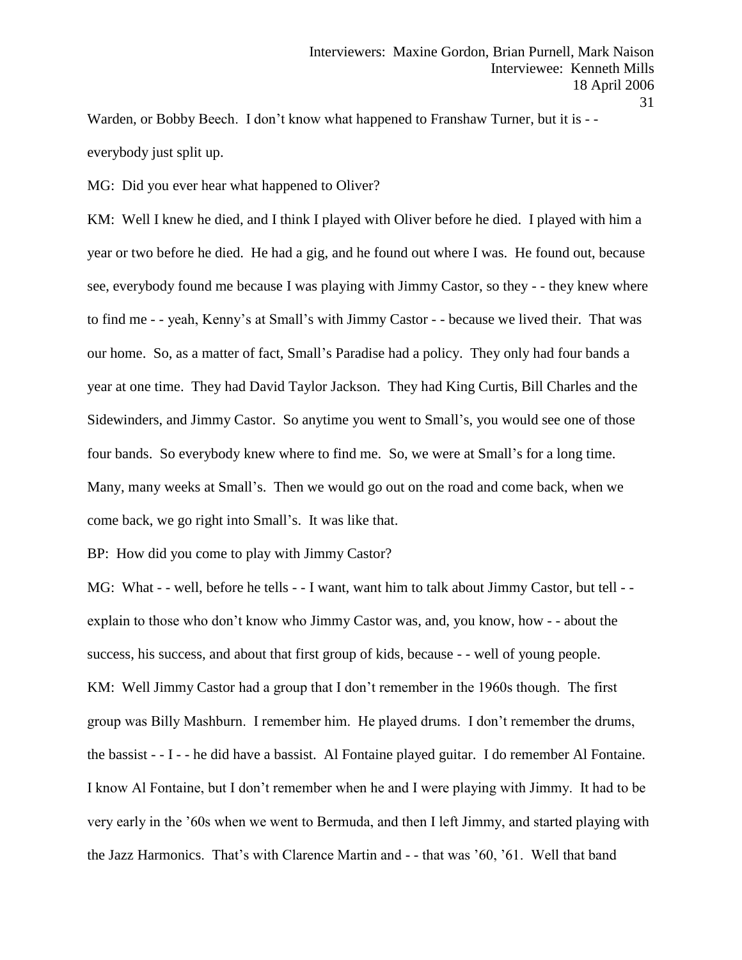Warden, or Bobby Beech. I don't know what happened to Franshaw Turner, but it is - everybody just split up.

MG: Did you ever hear what happened to Oliver?

KM: Well I knew he died, and I think I played with Oliver before he died. I played with him a year or two before he died. He had a gig, and he found out where I was. He found out, because see, everybody found me because I was playing with Jimmy Castor, so they - - they knew where to find me - - yeah, Kenny's at Small's with Jimmy Castor - - because we lived their. That was our home. So, as a matter of fact, Small's Paradise had a policy. They only had four bands a year at one time. They had David Taylor Jackson. They had King Curtis, Bill Charles and the Sidewinders, and Jimmy Castor. So anytime you went to Small's, you would see one of those four bands. So everybody knew where to find me. So, we were at Small's for a long time. Many, many weeks at Small's. Then we would go out on the road and come back, when we come back, we go right into Small's. It was like that.

BP: How did you come to play with Jimmy Castor?

MG: What - - well, before he tells - - I want, want him to talk about Jimmy Castor, but tell - explain to those who don't know who Jimmy Castor was, and, you know, how - - about the success, his success, and about that first group of kids, because - - well of young people. KM: Well Jimmy Castor had a group that I don't remember in the 1960s though. The first group was Billy Mashburn. I remember him. He played drums. I don't remember the drums, the bassist - - I - - he did have a bassist. Al Fontaine played guitar. I do remember Al Fontaine. I know Al Fontaine, but I don't remember when he and I were playing with Jimmy. It had to be very early in the '60s when we went to Bermuda, and then I left Jimmy, and started playing with the Jazz Harmonics. That's with Clarence Martin and - - that was '60, '61. Well that band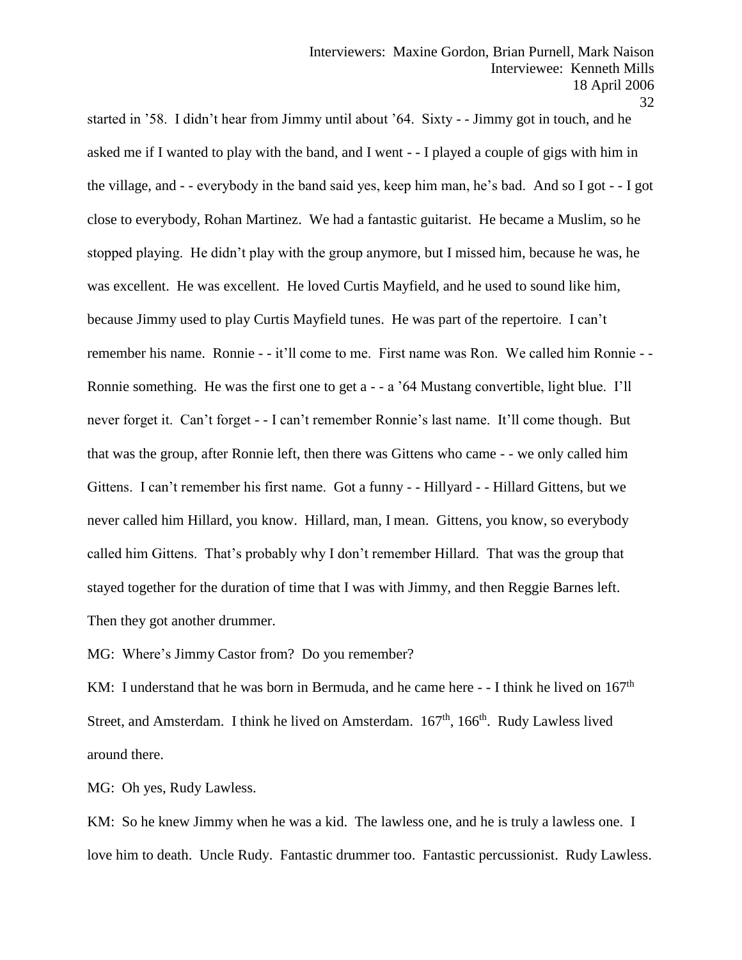32

started in '58. I didn't hear from Jimmy until about '64. Sixty - - Jimmy got in touch, and he asked me if I wanted to play with the band, and I went - - I played a couple of gigs with him in the village, and - - everybody in the band said yes, keep him man, he's bad. And so I got - - I got close to everybody, Rohan Martinez. We had a fantastic guitarist. He became a Muslim, so he stopped playing. He didn't play with the group anymore, but I missed him, because he was, he was excellent. He was excellent. He loved Curtis Mayfield, and he used to sound like him, because Jimmy used to play Curtis Mayfield tunes. He was part of the repertoire. I can't remember his name. Ronnie - - it'll come to me. First name was Ron. We called him Ronnie - - Ronnie something. He was the first one to get a - - a '64 Mustang convertible, light blue. I'll never forget it. Can't forget - - I can't remember Ronnie's last name. It'll come though. But that was the group, after Ronnie left, then there was Gittens who came - - we only called him Gittens. I can't remember his first name. Got a funny - - Hillyard - - Hillard Gittens, but we never called him Hillard, you know. Hillard, man, I mean. Gittens, you know, so everybody called him Gittens. That's probably why I don't remember Hillard. That was the group that stayed together for the duration of time that I was with Jimmy, and then Reggie Barnes left. Then they got another drummer.

MG: Where's Jimmy Castor from? Do you remember?

KM: I understand that he was born in Bermuda, and he came here  $-1$  think he lived on  $167<sup>th</sup>$ Street, and Amsterdam. I think he lived on Amsterdam. 167<sup>th</sup>, 166<sup>th</sup>. Rudy Lawless lived around there.

MG: Oh yes, Rudy Lawless.

KM: So he knew Jimmy when he was a kid. The lawless one, and he is truly a lawless one. I love him to death. Uncle Rudy. Fantastic drummer too. Fantastic percussionist. Rudy Lawless.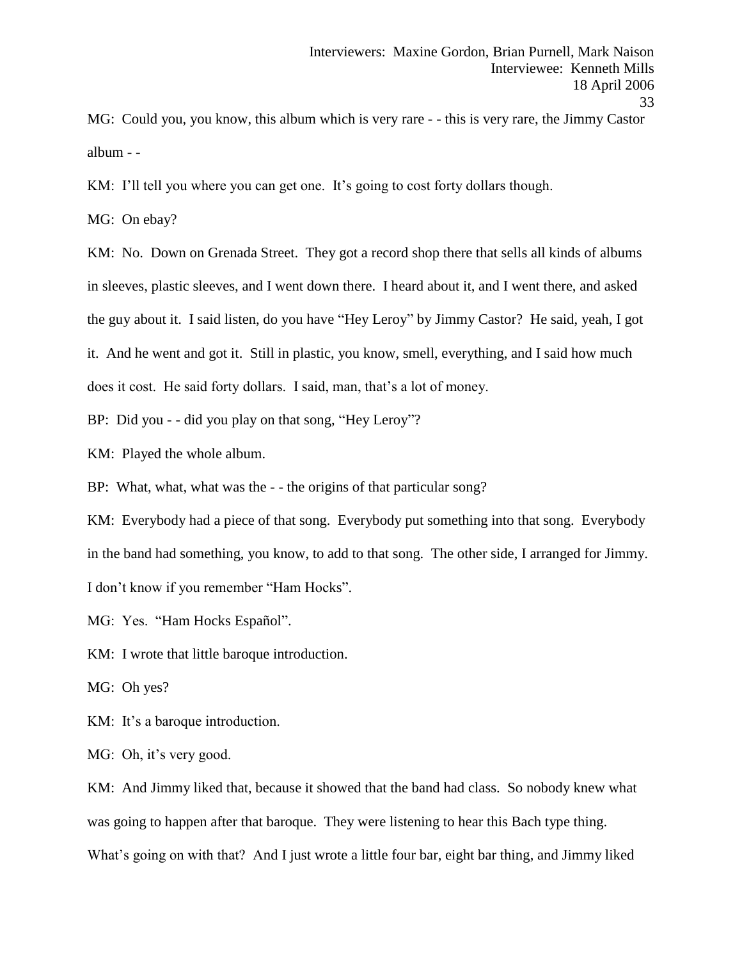MG: Could you, you know, this album which is very rare - - this is very rare, the Jimmy Castor album - -

KM: I'll tell you where you can get one. It's going to cost forty dollars though.

MG: On ebay?

KM: No. Down on Grenada Street. They got a record shop there that sells all kinds of albums in sleeves, plastic sleeves, and I went down there. I heard about it, and I went there, and asked the guy about it. I said listen, do you have "Hey Leroy" by Jimmy Castor? He said, yeah, I got it. And he went and got it. Still in plastic, you know, smell, everything, and I said how much does it cost. He said forty dollars. I said, man, that's a lot of money.

BP: Did you - - did you play on that song, "Hey Leroy"?

KM: Played the whole album.

BP: What, what, what was the - - the origins of that particular song?

KM: Everybody had a piece of that song. Everybody put something into that song. Everybody in the band had something, you know, to add to that song. The other side, I arranged for Jimmy. I don't know if you remember "Ham Hocks".

MG: Yes. "Ham Hocks Español".

KM: I wrote that little baroque introduction.

MG: Oh yes?

KM: It's a baroque introduction.

MG: Oh, it's very good.

KM: And Jimmy liked that, because it showed that the band had class. So nobody knew what was going to happen after that baroque. They were listening to hear this Bach type thing. What's going on with that? And I just wrote a little four bar, eight bar thing, and Jimmy liked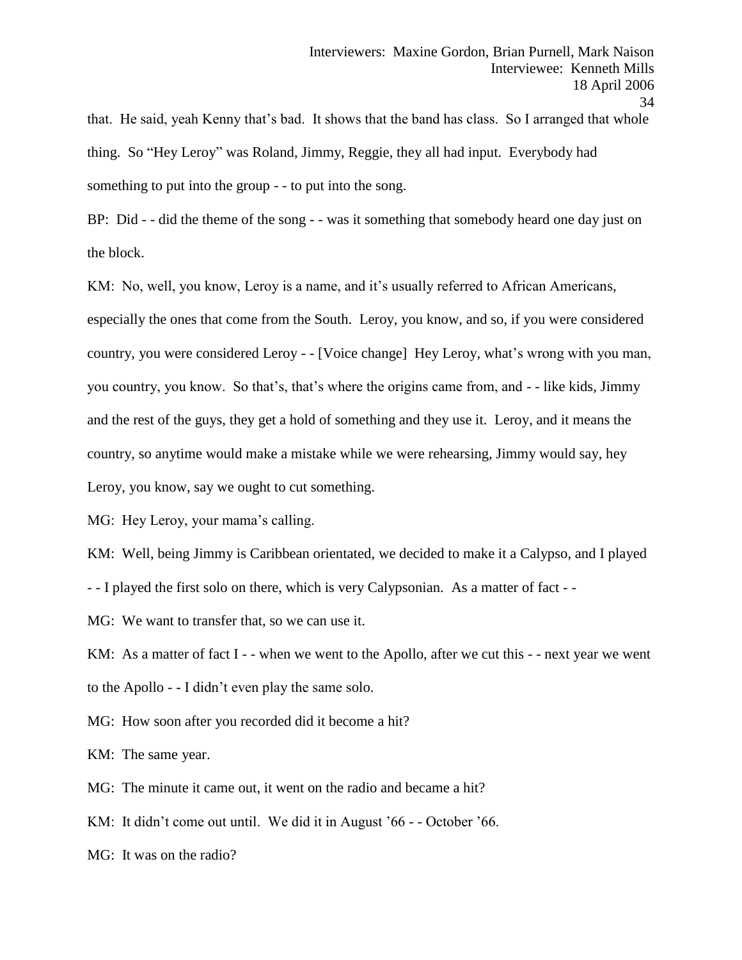that. He said, yeah Kenny that's bad. It shows that the band has class. So I arranged that whole thing. So "Hey Leroy" was Roland, Jimmy, Reggie, they all had input. Everybody had something to put into the group - - to put into the song.

BP: Did - - did the theme of the song - - was it something that somebody heard one day just on the block.

KM: No, well, you know, Leroy is a name, and it's usually referred to African Americans, especially the ones that come from the South. Leroy, you know, and so, if you were considered country, you were considered Leroy - - [Voice change] Hey Leroy, what's wrong with you man, you country, you know. So that's, that's where the origins came from, and - - like kids, Jimmy and the rest of the guys, they get a hold of something and they use it. Leroy, and it means the country, so anytime would make a mistake while we were rehearsing, Jimmy would say, hey Leroy, you know, say we ought to cut something.

MG: Hey Leroy, your mama's calling.

KM: Well, being Jimmy is Caribbean orientated, we decided to make it a Calypso, and I played

- - I played the first solo on there, which is very Calypsonian. As a matter of fact - -

MG: We want to transfer that, so we can use it.

KM: As a matter of fact I - - when we went to the Apollo, after we cut this - - next year we went to the Apollo - - I didn't even play the same solo.

MG: How soon after you recorded did it become a hit?

KM: The same year.

MG: The minute it came out, it went on the radio and became a hit?

KM: It didn't come out until. We did it in August '66 - - October '66.

MG: It was on the radio?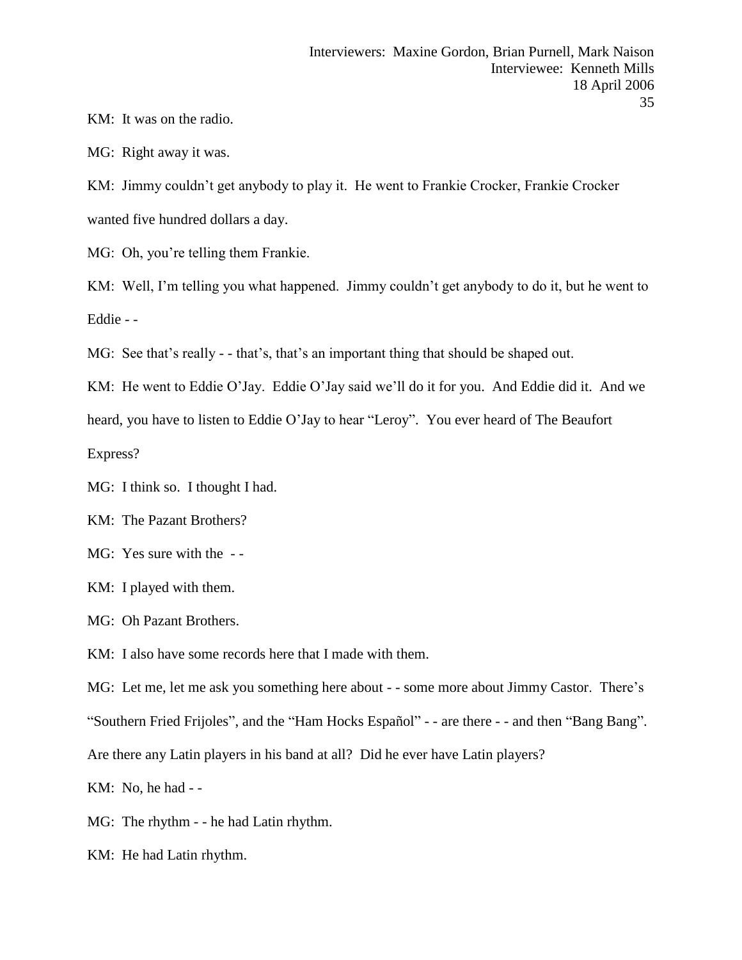KM: It was on the radio.

MG: Right away it was.

KM: Jimmy couldn't get anybody to play it. He went to Frankie Crocker, Frankie Crocker wanted five hundred dollars a day.

MG: Oh, you're telling them Frankie.

KM: Well, I'm telling you what happened. Jimmy couldn't get anybody to do it, but he went to Eddie - -

MG: See that's really - - that's, that's an important thing that should be shaped out.

KM: He went to Eddie O'Jay. Eddie O'Jay said we'll do it for you. And Eddie did it. And we heard, you have to listen to Eddie O'Jay to hear "Leroy". You ever heard of The Beaufort Express?

MG: I think so. I thought I had.

KM: The Pazant Brothers?

MG: Yes sure with the - -

KM: I played with them.

MG: Oh Pazant Brothers.

KM: I also have some records here that I made with them.

MG: Let me, let me ask you something here about - - some more about Jimmy Castor. There's "Southern Fried Frijoles", and the "Ham Hocks Español" - - are there - - and then "Bang Bang". Are there any Latin players in his band at all? Did he ever have Latin players?

KM: No, he had - -

MG: The rhythm - - he had Latin rhythm.

KM: He had Latin rhythm.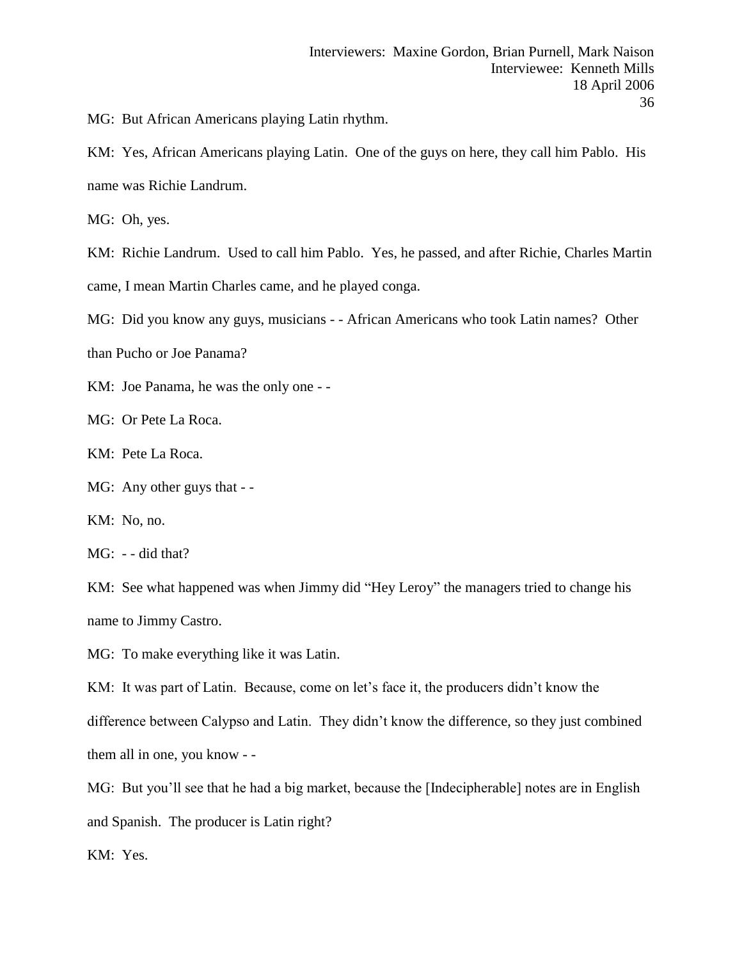MG: But African Americans playing Latin rhythm.

KM: Yes, African Americans playing Latin. One of the guys on here, they call him Pablo. His name was Richie Landrum.

MG: Oh, yes.

KM: Richie Landrum. Used to call him Pablo. Yes, he passed, and after Richie, Charles Martin came, I mean Martin Charles came, and he played conga.

MG: Did you know any guys, musicians - - African Americans who took Latin names? Other

than Pucho or Joe Panama?

KM: Joe Panama, he was the only one - -

MG: Or Pete La Roca.

KM: Pete La Roca.

MG: Any other guys that - -

KM: No, no.

MG: - - did that?

KM: See what happened was when Jimmy did "Hey Leroy" the managers tried to change his name to Jimmy Castro.

MG: To make everything like it was Latin.

KM: It was part of Latin. Because, come on let's face it, the producers didn't know the difference between Calypso and Latin. They didn't know the difference, so they just combined them all in one, you know - -

MG: But you'll see that he had a big market, because the [Indecipherable] notes are in English and Spanish. The producer is Latin right?

KM: Yes.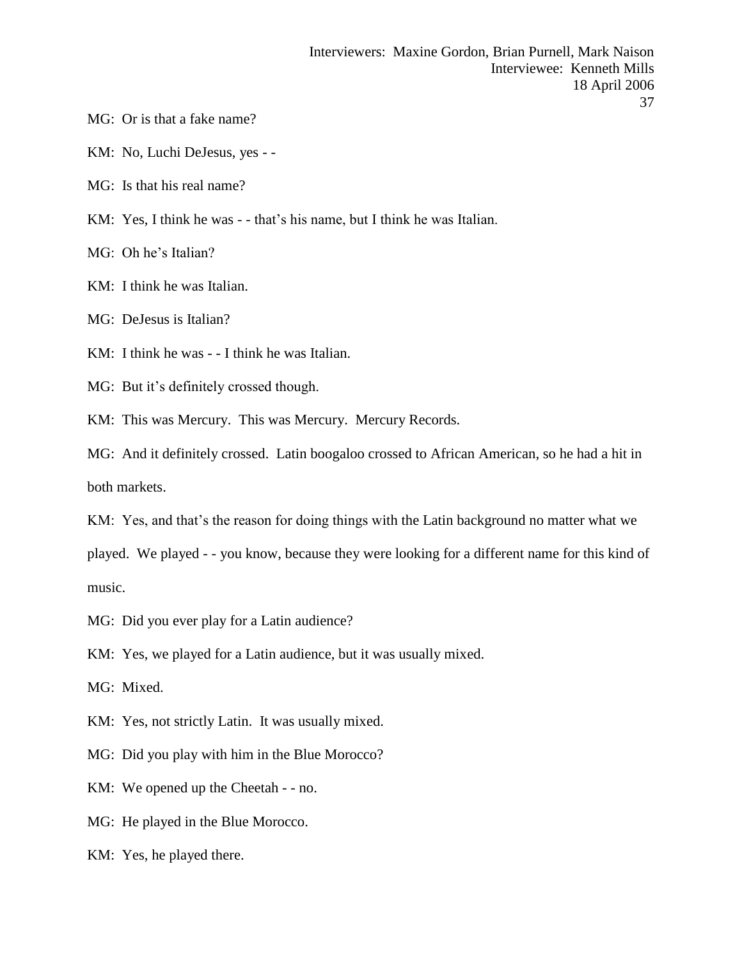- MG: Or is that a fake name?
- KM: No, Luchi DeJesus, yes -
- MG: Is that his real name?
- KM: Yes, I think he was - that's his name, but I think he was Italian.
- MG: Oh he's Italian?
- KM: I think he was Italian.
- MG: DeJesus is Italian?
- KM: I think he was - I think he was Italian.
- MG: But it's definitely crossed though.
- KM: This was Mercury. This was Mercury. Mercury Records.

MG: And it definitely crossed. Latin boogaloo crossed to African American, so he had a hit in both markets.

KM: Yes, and that's the reason for doing things with the Latin background no matter what we

played. We played - - you know, because they were looking for a different name for this kind of music.

MG: Did you ever play for a Latin audience?

KM: Yes, we played for a Latin audience, but it was usually mixed.

MG: Mixed.

KM: Yes, not strictly Latin. It was usually mixed.

- MG: Did you play with him in the Blue Morocco?
- KM: We opened up the Cheetah - no.
- MG: He played in the Blue Morocco.
- KM: Yes, he played there.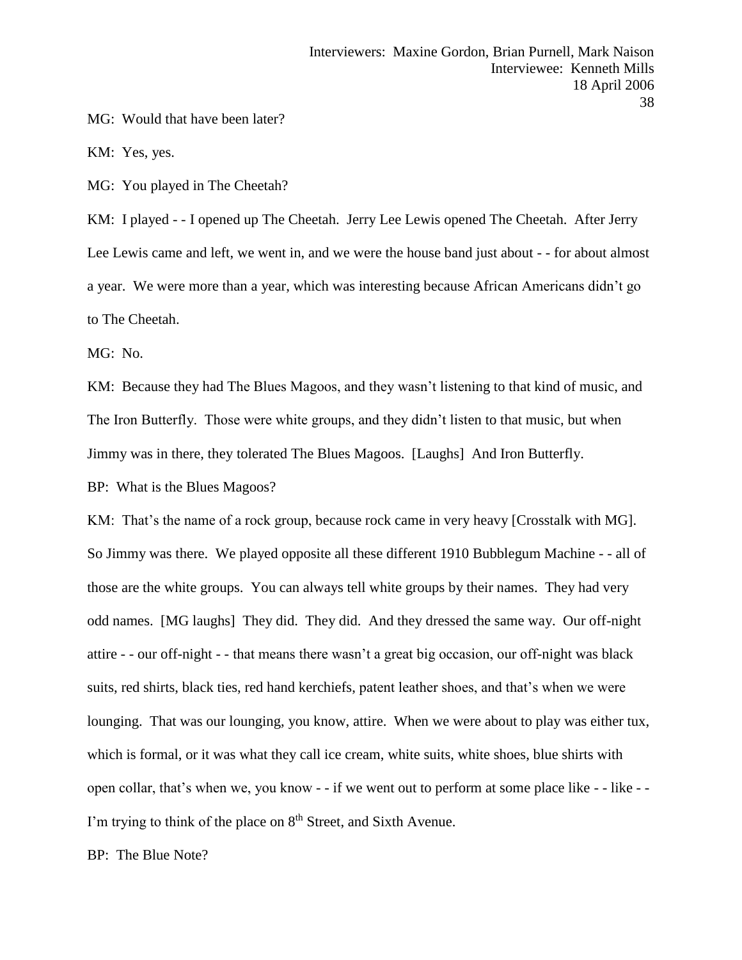MG: Would that have been later?

KM: Yes, yes.

MG: You played in The Cheetah?

KM: I played - - I opened up The Cheetah. Jerry Lee Lewis opened The Cheetah. After Jerry Lee Lewis came and left, we went in, and we were the house band just about - - for about almost a year. We were more than a year, which was interesting because African Americans didn't go to The Cheetah.

MG: No.

KM: Because they had The Blues Magoos, and they wasn't listening to that kind of music, and The Iron Butterfly. Those were white groups, and they didn't listen to that music, but when Jimmy was in there, they tolerated The Blues Magoos. [Laughs] And Iron Butterfly.

BP: What is the Blues Magoos?

KM: That's the name of a rock group, because rock came in very heavy [Crosstalk with MG]. So Jimmy was there. We played opposite all these different 1910 Bubblegum Machine - - all of those are the white groups. You can always tell white groups by their names. They had very odd names. [MG laughs] They did. They did. And they dressed the same way. Our off-night attire - - our off-night - - that means there wasn't a great big occasion, our off-night was black suits, red shirts, black ties, red hand kerchiefs, patent leather shoes, and that's when we were lounging. That was our lounging, you know, attire. When we were about to play was either tux, which is formal, or it was what they call ice cream, white suits, white shoes, blue shirts with open collar, that's when we, you know - - if we went out to perform at some place like - - like - - I'm trying to think of the place on 8<sup>th</sup> Street, and Sixth Avenue.

BP: The Blue Note?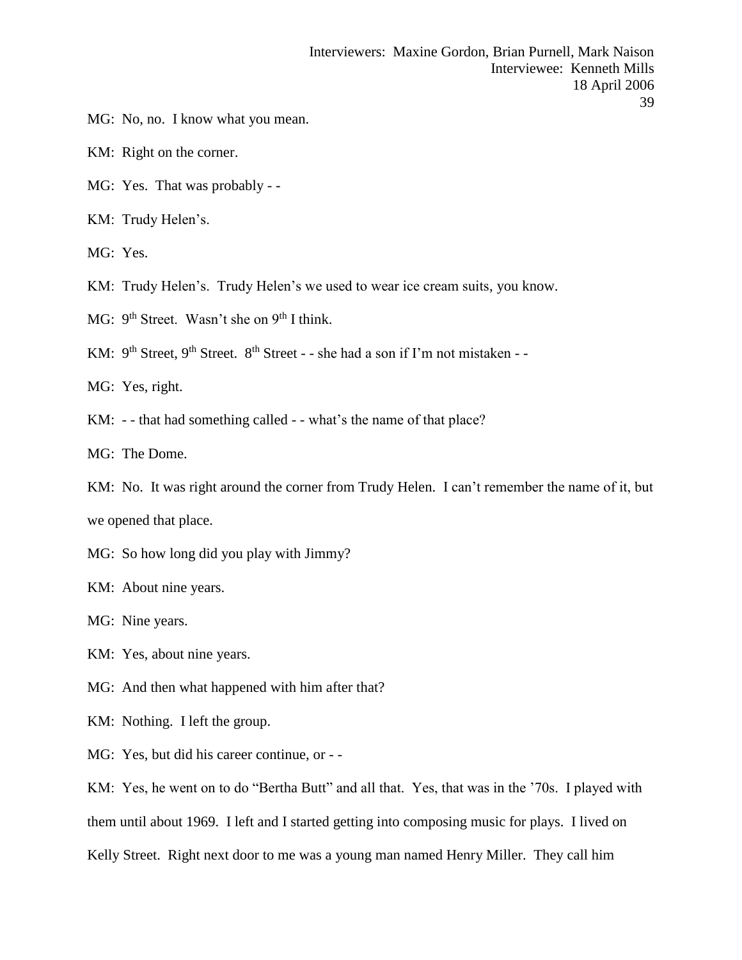- MG: No, no. I know what you mean.
- KM: Right on the corner.
- MG: Yes. That was probably -
- KM: Trudy Helen's.
- MG: Yes.
- KM: Trudy Helen's. Trudy Helen's we used to wear ice cream suits, you know.
- MG:  $9<sup>th</sup> Street. Wasn't she on 9<sup>th</sup> I think.$
- KM:  $9^{th}$  Street,  $9^{th}$  Street.  $8^{th}$  Street - she had a son if I'm not mistaken -
- MG: Yes, right.
- KM: -- that had something called -- what's the name of that place?
- MG: The Dome.
- KM: No. It was right around the corner from Trudy Helen. I can't remember the name of it, but we opened that place.
- MG: So how long did you play with Jimmy?
- KM: About nine years.
- MG: Nine years.
- KM: Yes, about nine years.
- MG: And then what happened with him after that?
- KM: Nothing. I left the group.
- MG: Yes, but did his career continue, or -

KM: Yes, he went on to do "Bertha Butt" and all that. Yes, that was in the '70s. I played with them until about 1969. I left and I started getting into composing music for plays. I lived on Kelly Street. Right next door to me was a young man named Henry Miller. They call him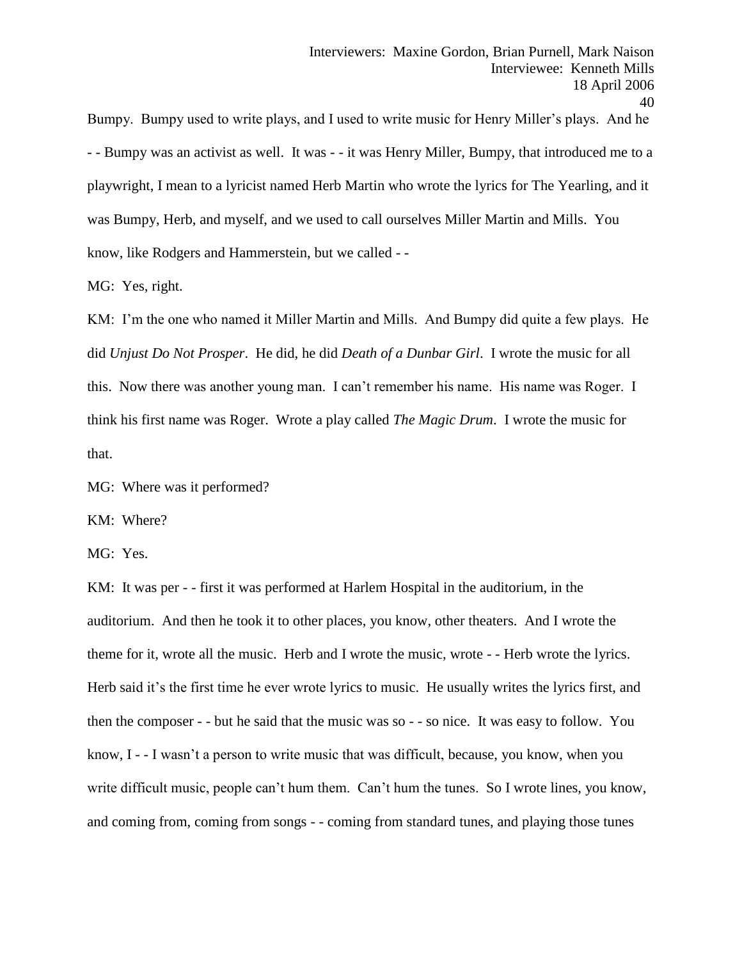Bumpy. Bumpy used to write plays, and I used to write music for Henry Miller's plays. And he - - Bumpy was an activist as well. It was - - it was Henry Miller, Bumpy, that introduced me to a playwright, I mean to a lyricist named Herb Martin who wrote the lyrics for The Yearling, and it was Bumpy, Herb, and myself, and we used to call ourselves Miller Martin and Mills. You know, like Rodgers and Hammerstein, but we called - -

MG: Yes, right.

KM: I'm the one who named it Miller Martin and Mills. And Bumpy did quite a few plays. He did *Unjust Do Not Prosper*. He did, he did *Death of a Dunbar Girl*. I wrote the music for all this. Now there was another young man. I can't remember his name. His name was Roger. I think his first name was Roger. Wrote a play called *The Magic Drum*. I wrote the music for that.

MG: Where was it performed?

KM: Where?

MG: Yes.

KM: It was per - - first it was performed at Harlem Hospital in the auditorium, in the auditorium. And then he took it to other places, you know, other theaters. And I wrote the theme for it, wrote all the music. Herb and I wrote the music, wrote - - Herb wrote the lyrics. Herb said it's the first time he ever wrote lyrics to music. He usually writes the lyrics first, and then the composer - - but he said that the music was so - - so nice. It was easy to follow. You know, I - - I wasn't a person to write music that was difficult, because, you know, when you write difficult music, people can't hum them. Can't hum the tunes. So I wrote lines, you know, and coming from, coming from songs - - coming from standard tunes, and playing those tunes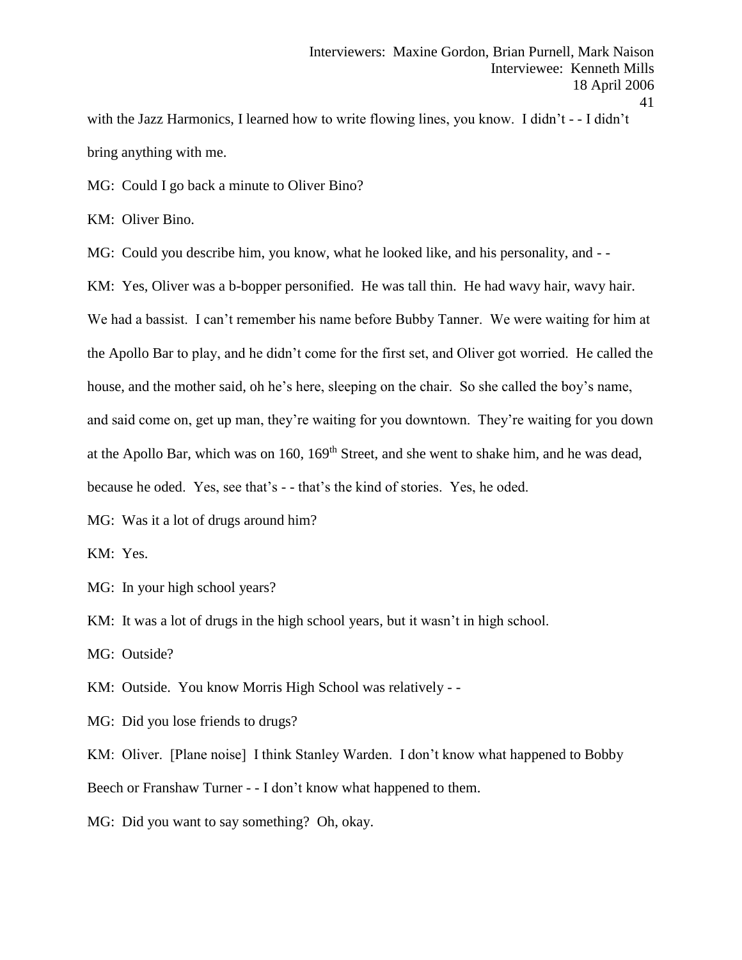with the Jazz Harmonics, I learned how to write flowing lines, you know. I didn't - - I didn't bring anything with me.

MG: Could I go back a minute to Oliver Bino?

KM: Oliver Bino.

MG: Could you describe him, you know, what he looked like, and his personality, and - -

KM: Yes, Oliver was a b-bopper personified. He was tall thin. He had wavy hair, wavy hair. We had a bassist. I can't remember his name before Bubby Tanner. We were waiting for him at the Apollo Bar to play, and he didn't come for the first set, and Oliver got worried. He called the house, and the mother said, oh he's here, sleeping on the chair. So she called the boy's name, and said come on, get up man, they're waiting for you downtown. They're waiting for you down at the Apollo Bar, which was on 160, 169<sup>th</sup> Street, and she went to shake him, and he was dead, because he oded. Yes, see that's - - that's the kind of stories. Yes, he oded.

MG: Was it a lot of drugs around him?

KM: Yes.

MG: In your high school years?

KM: It was a lot of drugs in the high school years, but it wasn't in high school.

MG: Outside?

KM: Outside. You know Morris High School was relatively - -

MG: Did you lose friends to drugs?

KM: Oliver. [Plane noise] I think Stanley Warden. I don't know what happened to Bobby Beech or Franshaw Turner - - I don't know what happened to them.

MG: Did you want to say something? Oh, okay.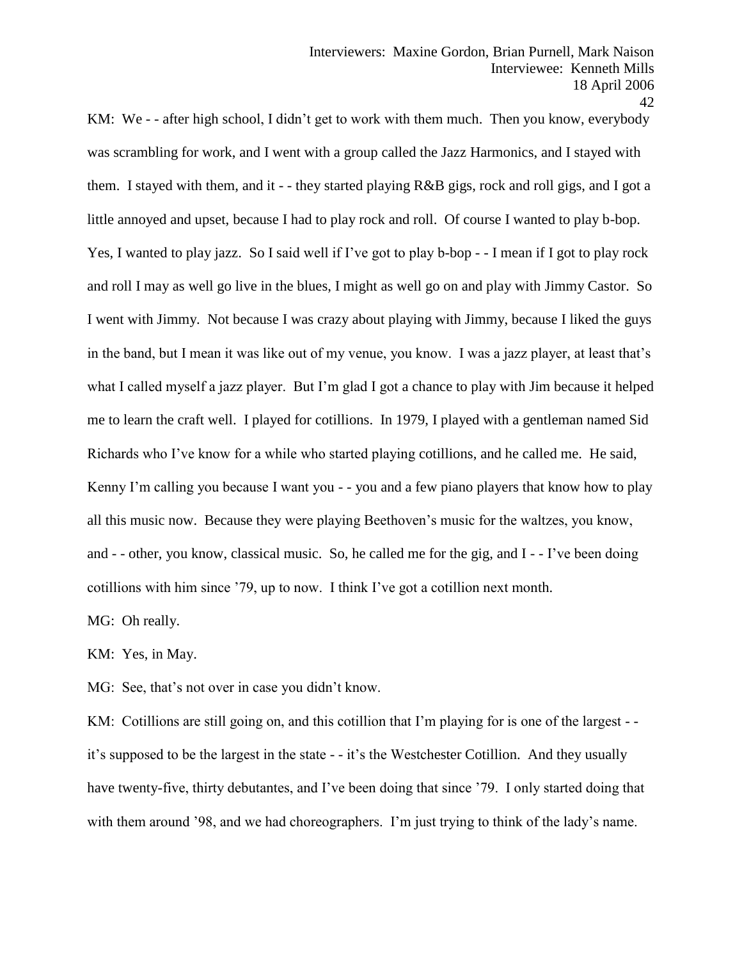KM: We - - after high school, I didn't get to work with them much. Then you know, everybody was scrambling for work, and I went with a group called the Jazz Harmonics, and I stayed with them. I stayed with them, and it - - they started playing R&B gigs, rock and roll gigs, and I got a little annoyed and upset, because I had to play rock and roll. Of course I wanted to play b-bop. Yes, I wanted to play jazz. So I said well if I've got to play b-bop - - I mean if I got to play rock and roll I may as well go live in the blues, I might as well go on and play with Jimmy Castor. So I went with Jimmy. Not because I was crazy about playing with Jimmy, because I liked the guys in the band, but I mean it was like out of my venue, you know. I was a jazz player, at least that's what I called myself a jazz player. But I'm glad I got a chance to play with Jim because it helped me to learn the craft well. I played for cotillions. In 1979, I played with a gentleman named Sid Richards who I've know for a while who started playing cotillions, and he called me. He said, Kenny I'm calling you because I want you - - you and a few piano players that know how to play all this music now. Because they were playing Beethoven's music for the waltzes, you know, and - - other, you know, classical music. So, he called me for the gig, and I - - I've been doing cotillions with him since '79, up to now. I think I've got a cotillion next month.

MG: Oh really.

KM: Yes, in May.

MG: See, that's not over in case you didn't know.

KM: Cotillions are still going on, and this cotillion that I'm playing for is one of the largest -it's supposed to be the largest in the state - - it's the Westchester Cotillion. And they usually have twenty-five, thirty debutantes, and I've been doing that since '79. I only started doing that with them around '98, and we had choreographers. I'm just trying to think of the lady's name.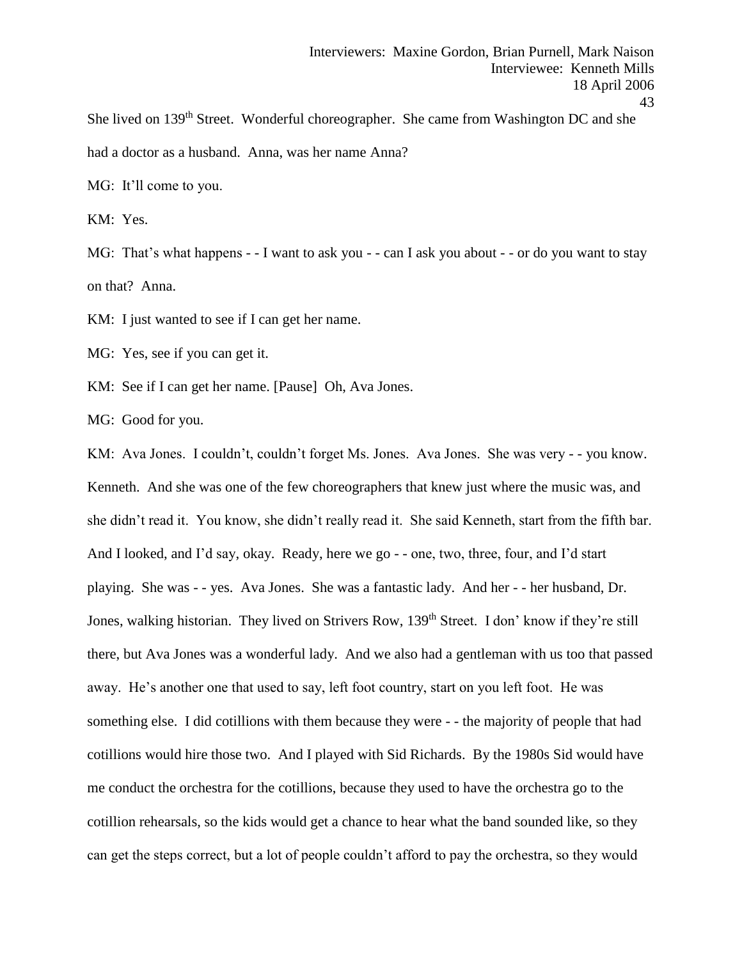She lived on 139<sup>th</sup> Street. Wonderful choreographer. She came from Washington DC and she had a doctor as a husband. Anna, was her name Anna?

MG: It'll come to you.

KM: Yes.

MG: That's what happens - - I want to ask you - - can I ask you about - - or do you want to stay on that? Anna.

KM: I just wanted to see if I can get her name.

MG: Yes, see if you can get it.

KM: See if I can get her name. [Pause] Oh, Ava Jones.

MG: Good for you.

KM: Ava Jones. I couldn't, couldn't forget Ms. Jones. Ava Jones. She was very - - you know. Kenneth. And she was one of the few choreographers that knew just where the music was, and she didn't read it. You know, she didn't really read it. She said Kenneth, start from the fifth bar. And I looked, and I'd say, okay. Ready, here we go - - one, two, three, four, and I'd start playing. She was - - yes. Ava Jones. She was a fantastic lady. And her - - her husband, Dr. Jones, walking historian. They lived on Strivers Row, 139<sup>th</sup> Street. I don' know if they're still there, but Ava Jones was a wonderful lady. And we also had a gentleman with us too that passed away. He's another one that used to say, left foot country, start on you left foot. He was something else. I did cotillions with them because they were - - the majority of people that had cotillions would hire those two. And I played with Sid Richards. By the 1980s Sid would have me conduct the orchestra for the cotillions, because they used to have the orchestra go to the cotillion rehearsals, so the kids would get a chance to hear what the band sounded like, so they can get the steps correct, but a lot of people couldn't afford to pay the orchestra, so they would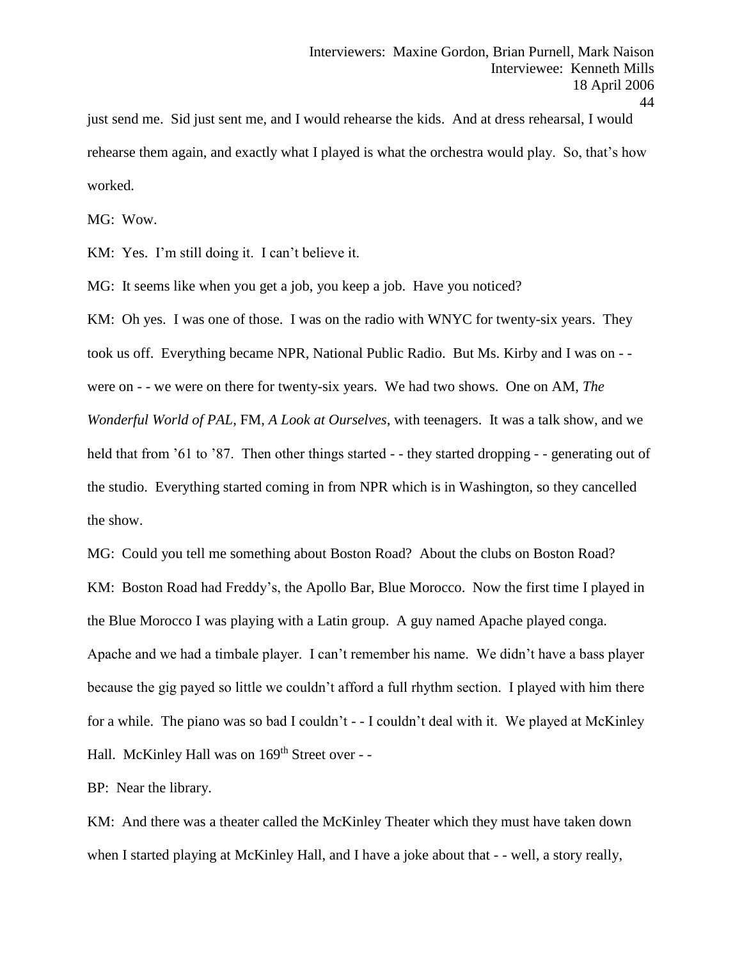just send me. Sid just sent me, and I would rehearse the kids. And at dress rehearsal, I would rehearse them again, and exactly what I played is what the orchestra would play. So, that's how worked.

MG: Wow.

KM: Yes. I'm still doing it. I can't believe it.

MG: It seems like when you get a job, you keep a job. Have you noticed?

KM: Oh yes. I was one of those. I was on the radio with WNYC for twenty-six years. They took us off. Everything became NPR, National Public Radio. But Ms. Kirby and I was on - were on - - we were on there for twenty-six years. We had two shows. One on AM, *The Wonderful World of PAL*, FM, *A Look at Ourselves*, with teenagers. It was a talk show, and we held that from '61 to '87. Then other things started - - they started dropping - - generating out of the studio. Everything started coming in from NPR which is in Washington, so they cancelled the show.

MG: Could you tell me something about Boston Road? About the clubs on Boston Road? KM: Boston Road had Freddy's, the Apollo Bar, Blue Morocco. Now the first time I played in the Blue Morocco I was playing with a Latin group. A guy named Apache played conga. Apache and we had a timbale player. I can't remember his name. We didn't have a bass player because the gig payed so little we couldn't afford a full rhythm section. I played with him there for a while. The piano was so bad I couldn't - - I couldn't deal with it. We played at McKinley Hall. McKinley Hall was on 169<sup>th</sup> Street over - -

BP: Near the library.

KM: And there was a theater called the McKinley Theater which they must have taken down when I started playing at McKinley Hall, and I have a joke about that - - well, a story really,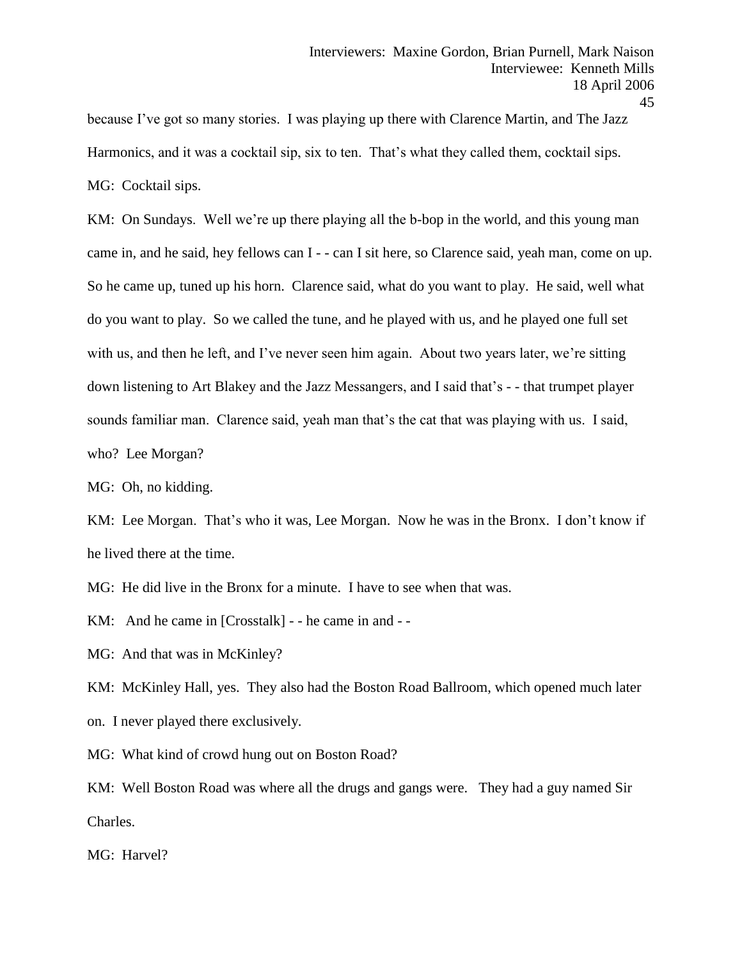because I've got so many stories. I was playing up there with Clarence Martin, and The Jazz Harmonics, and it was a cocktail sip, six to ten. That's what they called them, cocktail sips. MG: Cocktail sips.

KM: On Sundays. Well we're up there playing all the b-bop in the world, and this young man came in, and he said, hey fellows can I - - can I sit here, so Clarence said, yeah man, come on up. So he came up, tuned up his horn. Clarence said, what do you want to play. He said, well what do you want to play. So we called the tune, and he played with us, and he played one full set with us, and then he left, and I've never seen him again. About two years later, we're sitting down listening to Art Blakey and the Jazz Messangers, and I said that's - - that trumpet player sounds familiar man. Clarence said, yeah man that's the cat that was playing with us. I said, who? Lee Morgan?

MG: Oh, no kidding.

KM: Lee Morgan. That's who it was, Lee Morgan. Now he was in the Bronx. I don't know if he lived there at the time.

MG: He did live in the Bronx for a minute. I have to see when that was.

KM: And he came in [Crosstalk] - - he came in and - -

MG: And that was in McKinley?

KM: McKinley Hall, yes. They also had the Boston Road Ballroom, which opened much later on. I never played there exclusively.

MG: What kind of crowd hung out on Boston Road?

KM: Well Boston Road was where all the drugs and gangs were. They had a guy named Sir Charles.

MG: Harvel?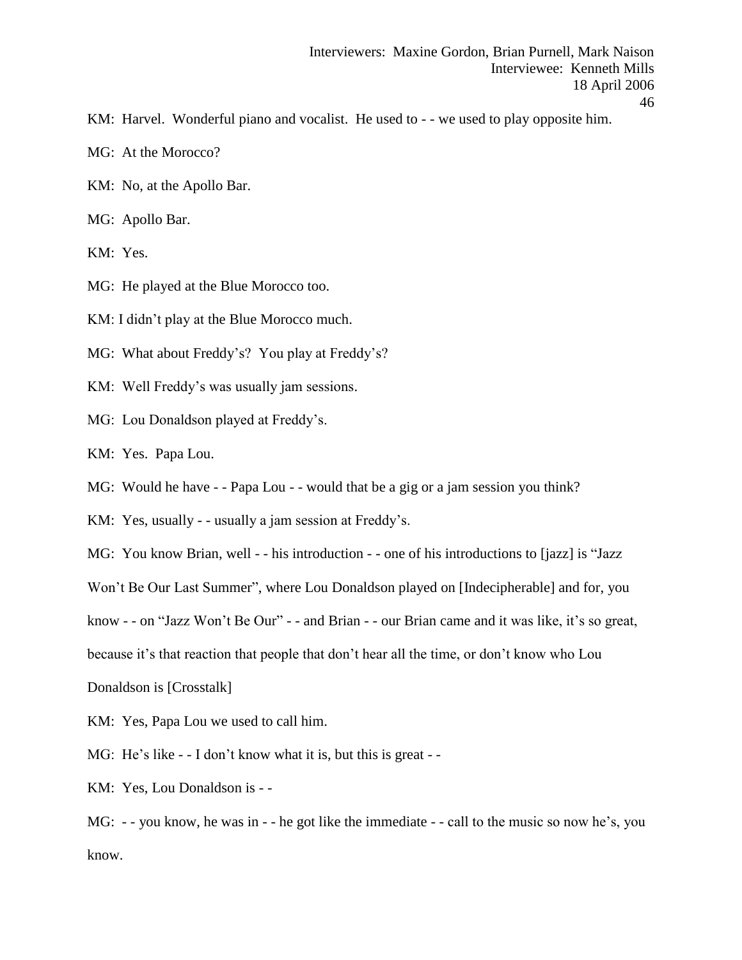- KM: Harvel. Wonderful piano and vocalist. He used to - we used to play opposite him.
- MG: At the Morocco?
- KM: No, at the Apollo Bar.
- MG: Apollo Bar.
- KM: Yes.
- MG: He played at the Blue Morocco too.
- KM: I didn't play at the Blue Morocco much.
- MG: What about Freddy's? You play at Freddy's?
- KM: Well Freddy's was usually jam sessions.
- MG: Lou Donaldson played at Freddy's.
- KM: Yes. Papa Lou.
- MG: Would he have - Papa Lou - would that be a gig or a jam session you think?
- KM: Yes, usually - usually a jam session at Freddy's.
- MG: You know Brian, well - his introduction - one of his introductions to [jazz] is "Jazz
- Won't Be Our Last Summer", where Lou Donaldson played on [Indecipherable] and for, you
- know - on "Jazz Won't Be Our" - and Brian - our Brian came and it was like, it's so great,
- because it's that reaction that people that don't hear all the time, or don't know who Lou
- Donaldson is [Crosstalk]
- KM: Yes, Papa Lou we used to call him.
- MG: He's like - I don't know what it is, but this is great -
- KM: Yes, Lou Donaldson is -

MG: - - you know, he was in - - he got like the immediate - - call to the music so now he's, you know.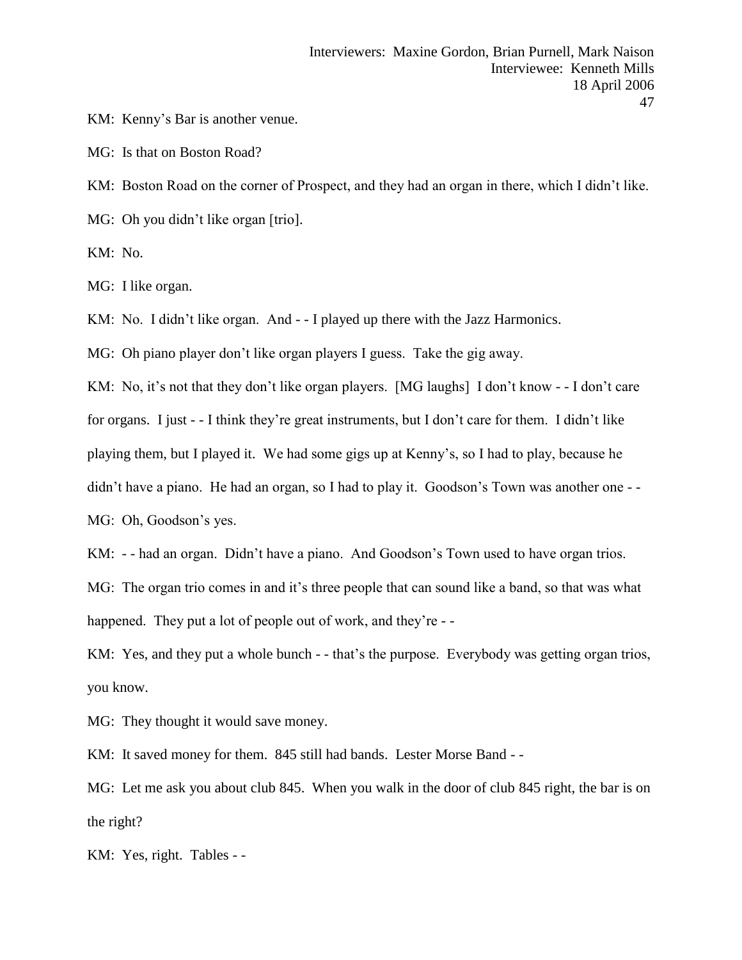KM: Kenny's Bar is another venue.

MG: Is that on Boston Road?

KM: Boston Road on the corner of Prospect, and they had an organ in there, which I didn't like. MG: Oh you didn't like organ [trio].

KM: No.

MG: I like organ.

KM: No. I didn't like organ. And - - I played up there with the Jazz Harmonics.

MG: Oh piano player don't like organ players I guess. Take the gig away.

KM: No, it's not that they don't like organ players. [MG laughs] I don't know - - I don't care for organs. I just - - I think they're great instruments, but I don't care for them. I didn't like playing them, but I played it. We had some gigs up at Kenny's, so I had to play, because he didn't have a piano. He had an organ, so I had to play it. Goodson's Town was another one --MG: Oh, Goodson's yes.

KM: - - had an organ. Didn't have a piano. And Goodson's Town used to have organ trios.

MG: The organ trio comes in and it's three people that can sound like a band, so that was what happened. They put a lot of people out of work, and they're --

KM: Yes, and they put a whole bunch - - that's the purpose. Everybody was getting organ trios, you know.

MG: They thought it would save money.

KM: It saved money for them. 845 still had bands. Lester Morse Band - -

MG: Let me ask you about club 845. When you walk in the door of club 845 right, the bar is on the right?

KM: Yes, right. Tables - -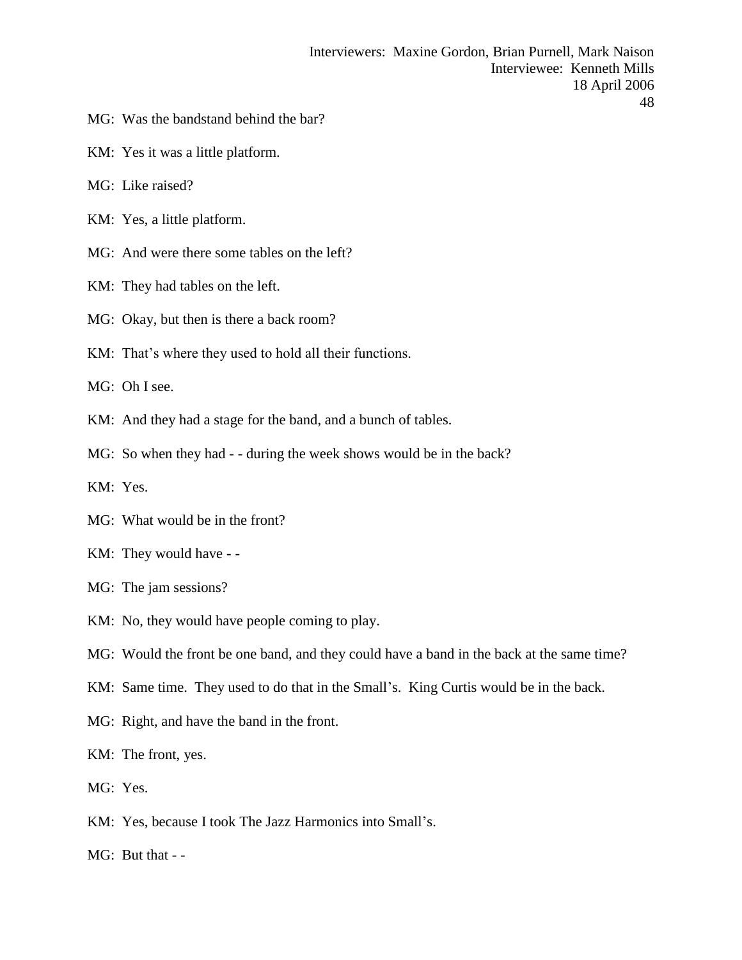- MG: Was the bandstand behind the bar?
- KM: Yes it was a little platform.
- MG: Like raised?
- KM: Yes, a little platform.
- MG: And were there some tables on the left?
- KM: They had tables on the left.
- MG: Okay, but then is there a back room?
- KM: That's where they used to hold all their functions.

MG: Oh I see.

- KM: And they had a stage for the band, and a bunch of tables.
- MG: So when they had - during the week shows would be in the back?
- KM: Yes.
- MG: What would be in the front?
- KM: They would have -
- MG: The jam sessions?
- KM: No, they would have people coming to play.
- MG: Would the front be one band, and they could have a band in the back at the same time?
- KM: Same time. They used to do that in the Small's. King Curtis would be in the back.
- MG: Right, and have the band in the front.
- KM: The front, yes.
- MG: Yes.
- KM: Yes, because I took The Jazz Harmonics into Small's.
- MG: But that -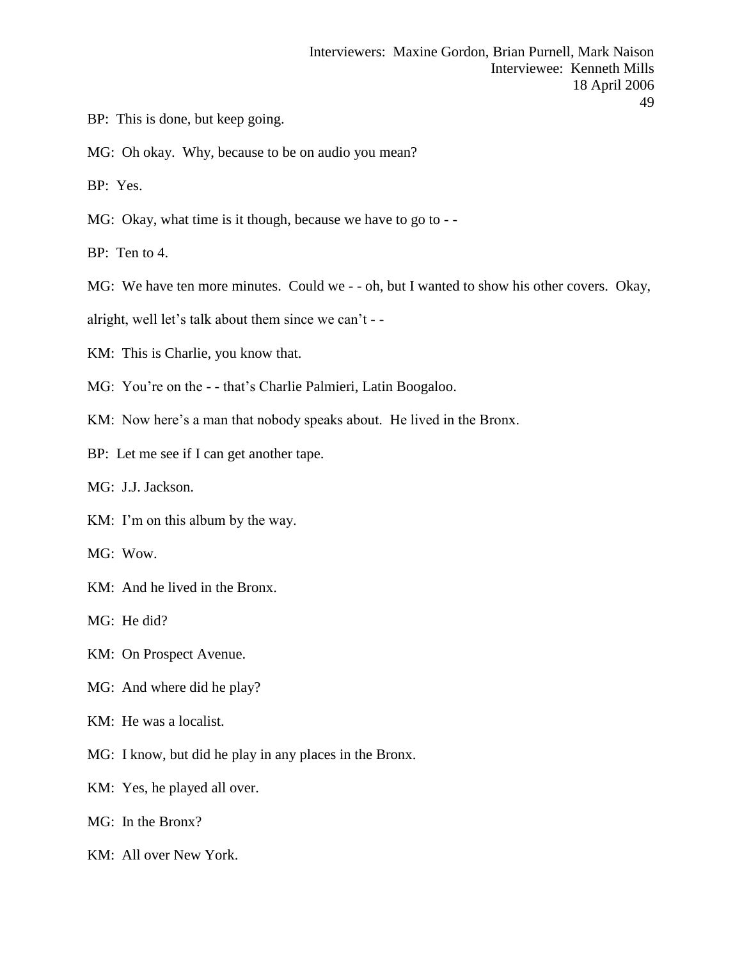- BP: This is done, but keep going.
- MG: Oh okay. Why, because to be on audio you mean?
- BP: Yes.
- MG: Okay, what time is it though, because we have to go to --
- BP: Ten to 4.

MG: We have ten more minutes. Could we - - oh, but I wanted to show his other covers. Okay,

alright, well let's talk about them since we can't - -

- KM: This is Charlie, you know that.
- MG: You're on the - that's Charlie Palmieri, Latin Boogaloo.
- KM: Now here's a man that nobody speaks about. He lived in the Bronx.
- BP: Let me see if I can get another tape.
- MG: J.J. Jackson.
- KM: I'm on this album by the way.
- MG: Wow.
- KM: And he lived in the Bronx.
- MG: He did?
- KM: On Prospect Avenue.
- MG: And where did he play?
- KM: He was a localist.
- MG: I know, but did he play in any places in the Bronx.
- KM: Yes, he played all over.
- MG: In the Bronx?
- KM: All over New York.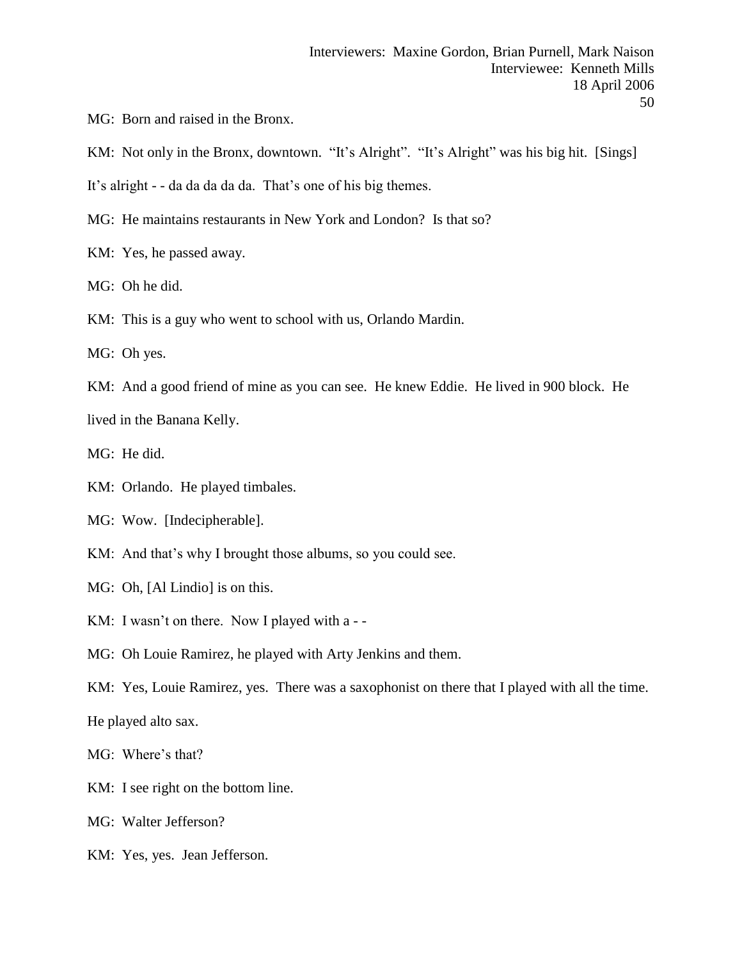- MG: Born and raised in the Bronx.
- KM: Not only in the Bronx, downtown. "It's Alright". "It's Alright" was his big hit. [Sings]
- It's alright - da da da da da. That's one of his big themes.
- MG: He maintains restaurants in New York and London? Is that so?
- KM: Yes, he passed away.
- MG: Oh he did.
- KM: This is a guy who went to school with us, Orlando Mardin.
- MG: Oh yes.
- KM: And a good friend of mine as you can see. He knew Eddie. He lived in 900 block. He

lived in the Banana Kelly.

- MG: He did.
- KM: Orlando. He played timbales.
- MG: Wow. [Indecipherable].
- KM: And that's why I brought those albums, so you could see.
- MG: Oh, [Al Lindio] is on this.
- KM: I wasn't on there. Now I played with a --
- MG: Oh Louie Ramirez, he played with Arty Jenkins and them.
- KM: Yes, Louie Ramirez, yes. There was a saxophonist on there that I played with all the time.

He played alto sax.

MG: Where's that?

KM: I see right on the bottom line.

MG: Walter Jefferson?

KM: Yes, yes. Jean Jefferson.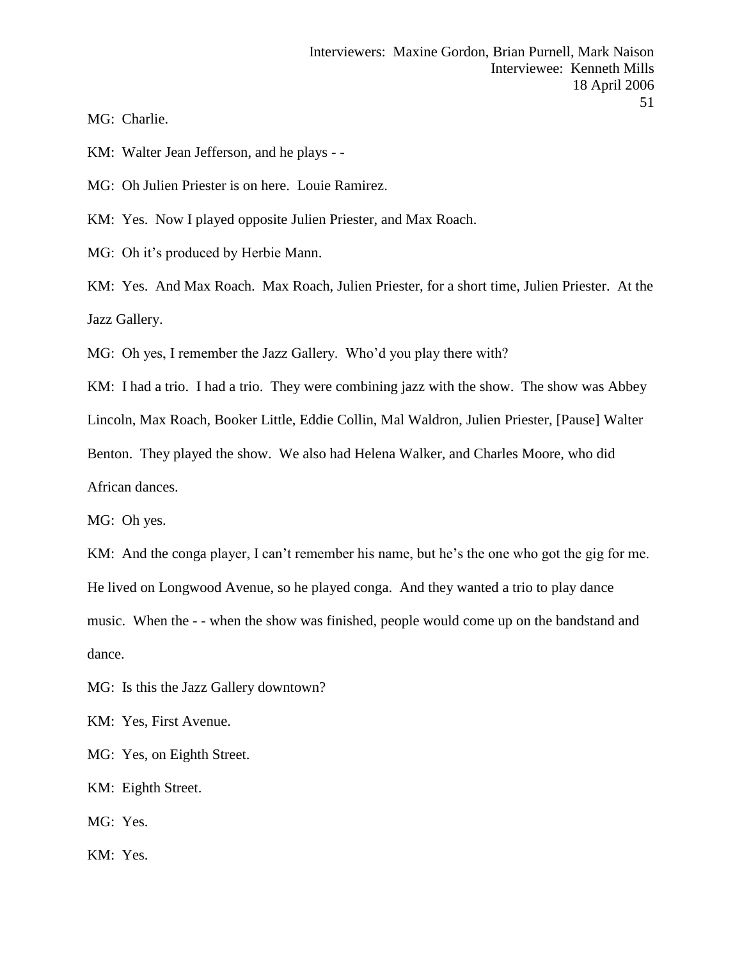MG: Charlie.

KM: Walter Jean Jefferson, and he plays - -

MG: Oh Julien Priester is on here. Louie Ramirez.

KM: Yes. Now I played opposite Julien Priester, and Max Roach.

MG: Oh it's produced by Herbie Mann.

KM: Yes. And Max Roach. Max Roach, Julien Priester, for a short time, Julien Priester. At the Jazz Gallery.

MG: Oh yes, I remember the Jazz Gallery. Who'd you play there with?

KM: I had a trio. I had a trio. They were combining jazz with the show. The show was Abbey

Lincoln, Max Roach, Booker Little, Eddie Collin, Mal Waldron, Julien Priester, [Pause] Walter

Benton. They played the show. We also had Helena Walker, and Charles Moore, who did

African dances.

MG: Oh yes.

KM: And the conga player, I can't remember his name, but he's the one who got the gig for me. He lived on Longwood Avenue, so he played conga. And they wanted a trio to play dance music. When the - - when the show was finished, people would come up on the bandstand and dance.

MG: Is this the Jazz Gallery downtown?

KM: Yes, First Avenue.

MG: Yes, on Eighth Street.

KM: Eighth Street.

MG: Yes.

KM: Yes.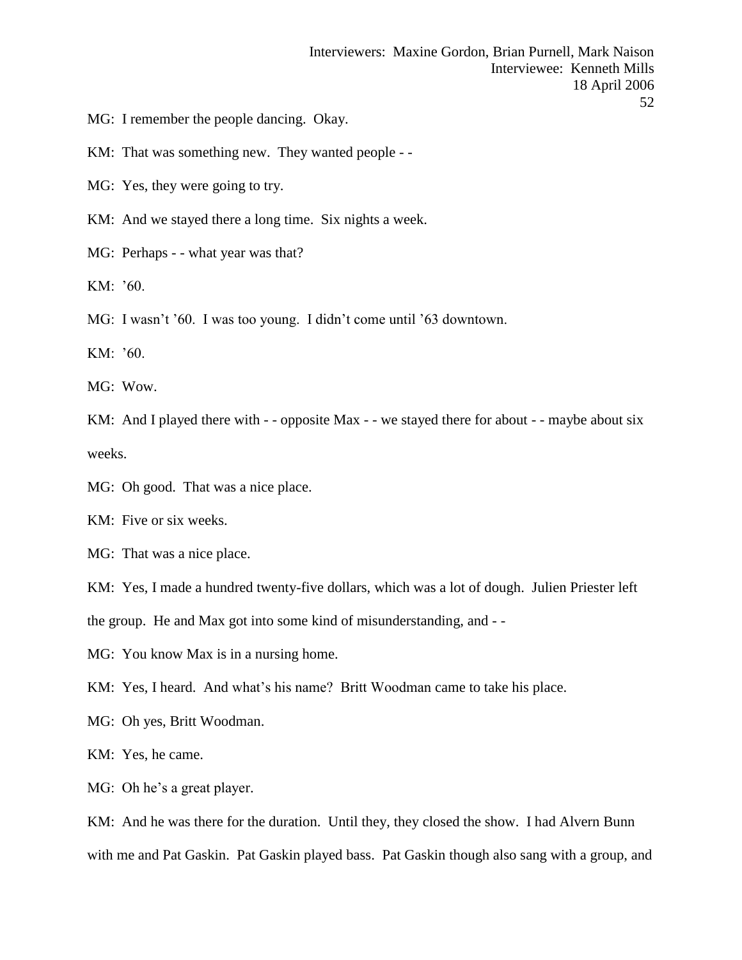MG: I remember the people dancing. Okay.

KM: That was something new. They wanted people - -

MG: Yes, they were going to try.

KM: And we stayed there a long time. Six nights a week.

MG: Perhaps - - what year was that?

KM: '60.

MG: I wasn't '60. I was too young. I didn't come until '63 downtown.

KM: '60.

MG: Wow.

KM: And I played there with - - opposite Max - - we stayed there for about - - maybe about six weeks.

MG: Oh good. That was a nice place.

KM: Five or six weeks.

MG: That was a nice place.

KM: Yes, I made a hundred twenty-five dollars, which was a lot of dough. Julien Priester left

the group. He and Max got into some kind of misunderstanding, and - -

MG: You know Max is in a nursing home.

KM: Yes, I heard. And what's his name? Britt Woodman came to take his place.

MG: Oh yes, Britt Woodman.

KM: Yes, he came.

MG: Oh he's a great player.

KM: And he was there for the duration. Until they, they closed the show. I had Alvern Bunn with me and Pat Gaskin. Pat Gaskin played bass. Pat Gaskin though also sang with a group, and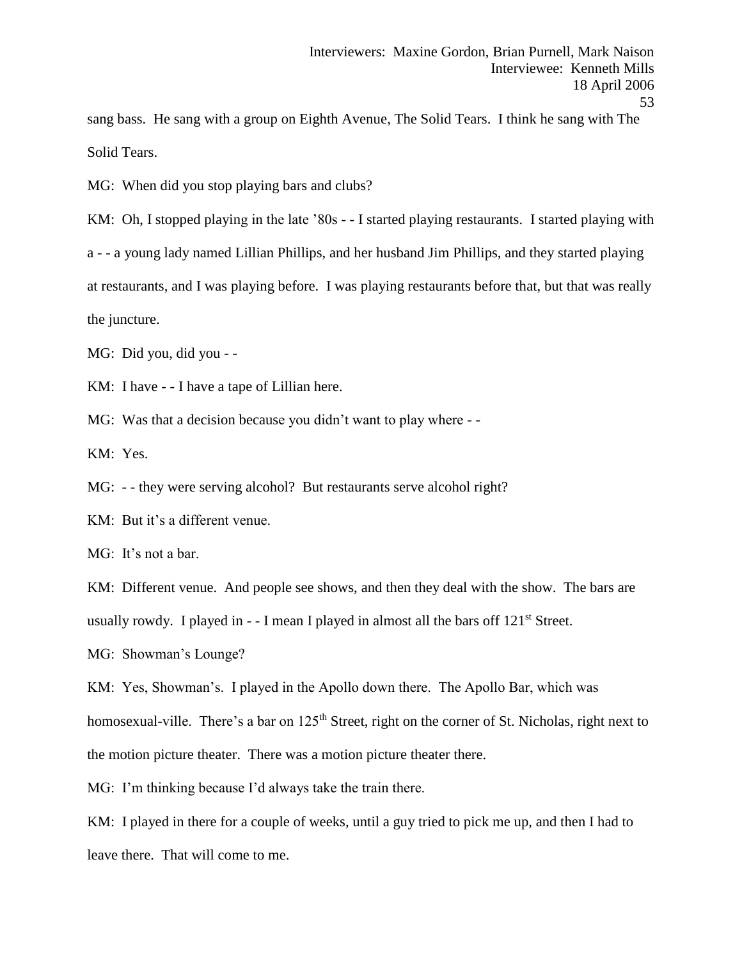sang bass. He sang with a group on Eighth Avenue, The Solid Tears. I think he sang with The Solid Tears.

MG: When did you stop playing bars and clubs?

KM: Oh, I stopped playing in the late '80s - - I started playing restaurants. I started playing with

a - - a young lady named Lillian Phillips, and her husband Jim Phillips, and they started playing

at restaurants, and I was playing before. I was playing restaurants before that, but that was really

the juncture.

MG: Did you, did you - -

KM: I have - - I have a tape of Lillian here.

MG: Was that a decision because you didn't want to play where --

KM: Yes.

MG: - - they were serving alcohol? But restaurants serve alcohol right?

KM: But it's a different venue.

MG: It's not a bar.

KM: Different venue. And people see shows, and then they deal with the show. The bars are usually rowdy. I played in - - I mean I played in almost all the bars off 121<sup>st</sup> Street.

MG: Showman's Lounge?

KM: Yes, Showman's. I played in the Apollo down there. The Apollo Bar, which was

homosexual-ville. There's a bar on 125<sup>th</sup> Street, right on the corner of St. Nicholas, right next to the motion picture theater. There was a motion picture theater there.

MG: I'm thinking because I'd always take the train there.

KM: I played in there for a couple of weeks, until a guy tried to pick me up, and then I had to leave there. That will come to me.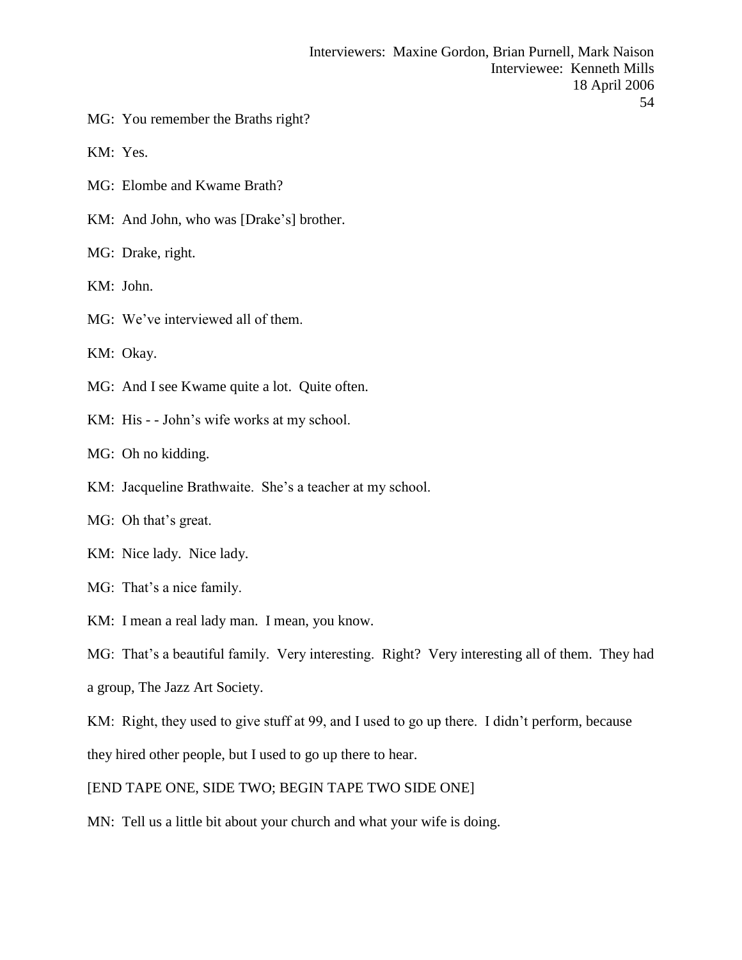- MG: You remember the Braths right?
- KM: Yes.
- MG: Elombe and Kwame Brath?
- KM: And John, who was [Drake's] brother.
- MG: Drake, right.
- KM: John.
- MG: We've interviewed all of them.
- KM: Okay.
- MG: And I see Kwame quite a lot. Quite often.
- KM: His - John's wife works at my school.
- MG: Oh no kidding.
- KM: Jacqueline Brathwaite. She's a teacher at my school.
- MG: Oh that's great.
- KM: Nice lady. Nice lady.
- MG: That's a nice family.
- KM: I mean a real lady man. I mean, you know.
- MG: That's a beautiful family. Very interesting. Right? Very interesting all of them. They had
- a group, The Jazz Art Society.
- KM: Right, they used to give stuff at 99, and I used to go up there. I didn't perform, because they hired other people, but I used to go up there to hear.
- [END TAPE ONE, SIDE TWO; BEGIN TAPE TWO SIDE ONE]
- MN: Tell us a little bit about your church and what your wife is doing.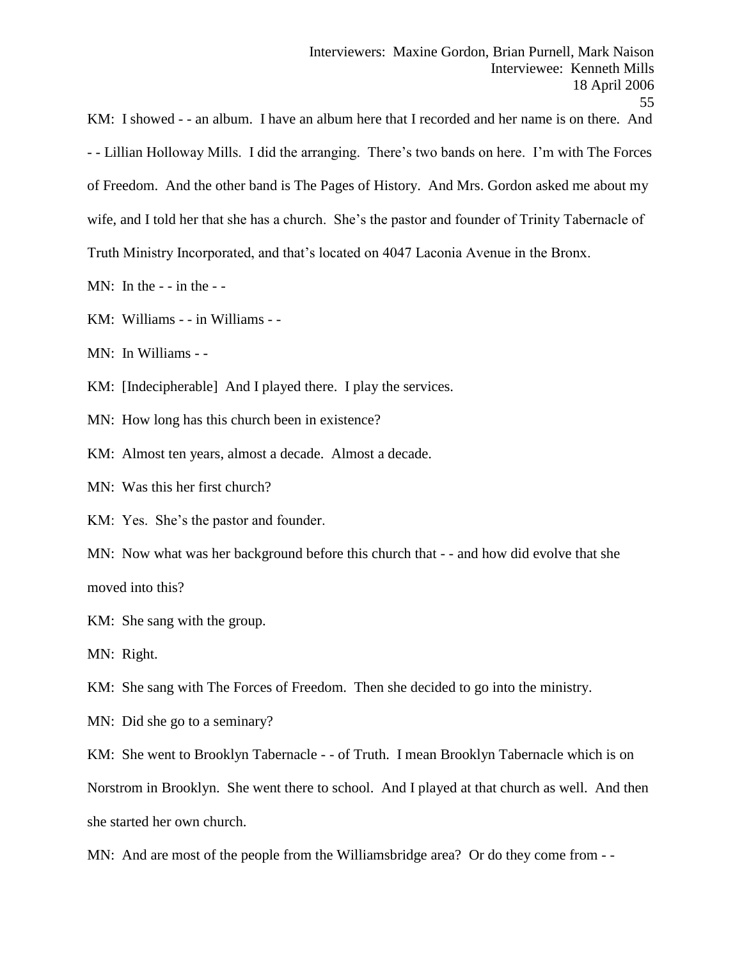KM: I showed - - an album. I have an album here that I recorded and her name is on there. And - - Lillian Holloway Mills. I did the arranging. There's two bands on here. I'm with The Forces of Freedom. And the other band is The Pages of History. And Mrs. Gordon asked me about my wife, and I told her that she has a church. She's the pastor and founder of Trinity Tabernacle of Truth Ministry Incorporated, and that's located on 4047 Laconia Avenue in the Bronx.

MN: In the  $-$  - in the  $-$ 

KM: Williams - - in Williams - -

MN: In Williams - -

KM: [Indecipherable] And I played there. I play the services.

MN: How long has this church been in existence?

KM: Almost ten years, almost a decade. Almost a decade.

MN: Was this her first church?

KM: Yes. She's the pastor and founder.

MN: Now what was her background before this church that - - and how did evolve that she moved into this?

KM: She sang with the group.

MN: Right.

KM: She sang with The Forces of Freedom. Then she decided to go into the ministry.

MN: Did she go to a seminary?

KM: She went to Brooklyn Tabernacle - - of Truth. I mean Brooklyn Tabernacle which is on

Norstrom in Brooklyn. She went there to school. And I played at that church as well. And then she started her own church.

MN: And are most of the people from the Williamsbridge area? Or do they come from - -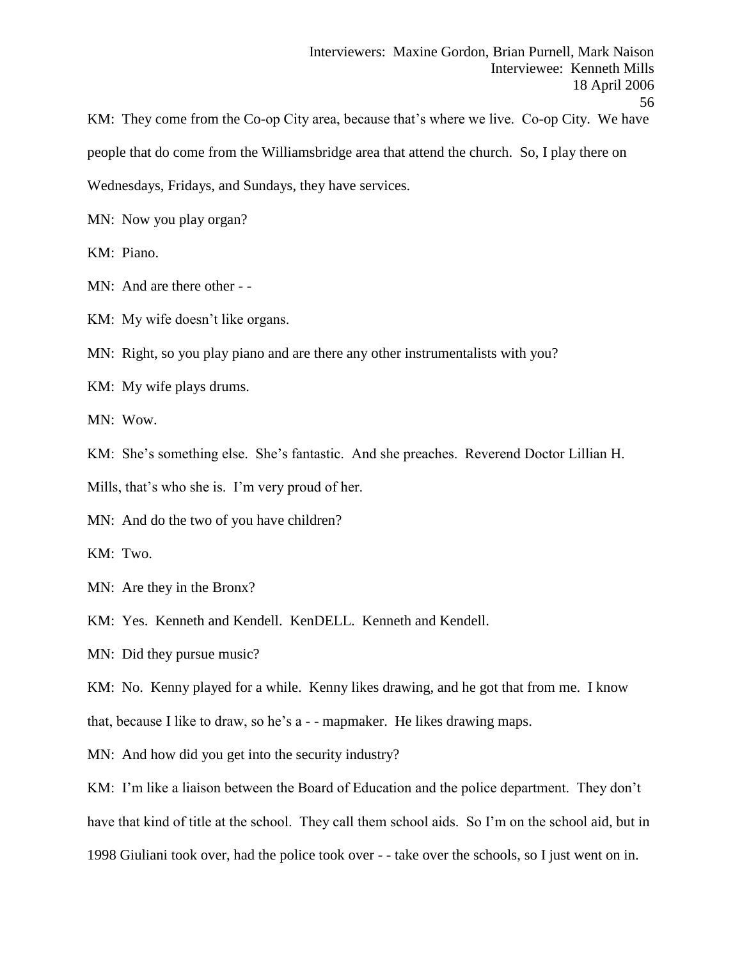KM: They come from the Co-op City area, because that's where we live. Co-op City. We have people that do come from the Williamsbridge area that attend the church. So, I play there on Wednesdays, Fridays, and Sundays, they have services.

MN: Now you play organ?

KM: Piano.

MN: And are there other - -

KM: My wife doesn't like organs.

MN: Right, so you play piano and are there any other instrumentalists with you?

KM: My wife plays drums.

MN: Wow.

KM: She's something else. She's fantastic. And she preaches. Reverend Doctor Lillian H.

Mills, that's who she is. I'm very proud of her.

MN: And do the two of you have children?

KM: Two.

MN: Are they in the Bronx?

KM: Yes. Kenneth and Kendell. KenDELL. Kenneth and Kendell.

MN: Did they pursue music?

KM: No. Kenny played for a while. Kenny likes drawing, and he got that from me. I know

that, because I like to draw, so he's a - - mapmaker. He likes drawing maps.

MN: And how did you get into the security industry?

KM: I'm like a liaison between the Board of Education and the police department. They don't have that kind of title at the school. They call them school aids. So I'm on the school aid, but in 1998 Giuliani took over, had the police took over - - take over the schools, so I just went on in.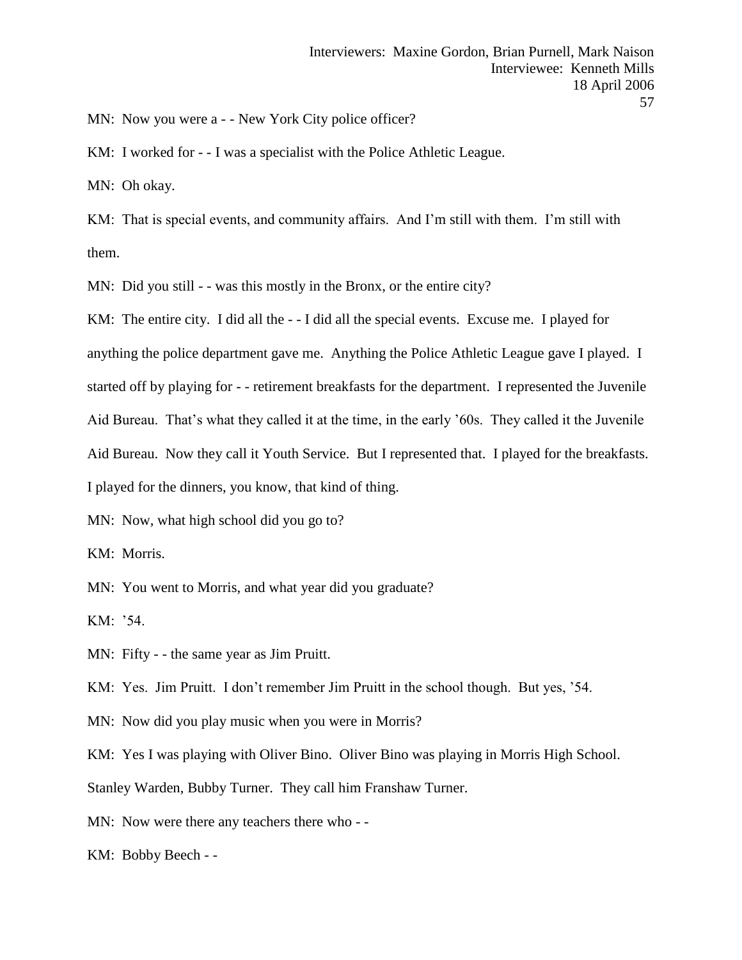MN: Now you were a - - New York City police officer?

KM: I worked for - - I was a specialist with the Police Athletic League.

MN: Oh okay.

KM: That is special events, and community affairs. And I'm still with them. I'm still with them.

MN: Did you still - - was this mostly in the Bronx, or the entire city?

KM: The entire city. I did all the - - I did all the special events. Excuse me. I played for

anything the police department gave me. Anything the Police Athletic League gave I played. I

started off by playing for - - retirement breakfasts for the department. I represented the Juvenile

Aid Bureau. That's what they called it at the time, in the early '60s. They called it the Juvenile

Aid Bureau. Now they call it Youth Service. But I represented that. I played for the breakfasts.

I played for the dinners, you know, that kind of thing.

MN: Now, what high school did you go to?

KM: Morris.

MN: You went to Morris, and what year did you graduate?

KM: '54.

MN: Fifty - - the same year as Jim Pruitt.

KM: Yes. Jim Pruitt. I don't remember Jim Pruitt in the school though. But yes, '54.

MN: Now did you play music when you were in Morris?

KM: Yes I was playing with Oliver Bino. Oliver Bino was playing in Morris High School.

Stanley Warden, Bubby Turner. They call him Franshaw Turner.

MN: Now were there any teachers there who - -

KM: Bobby Beech - -